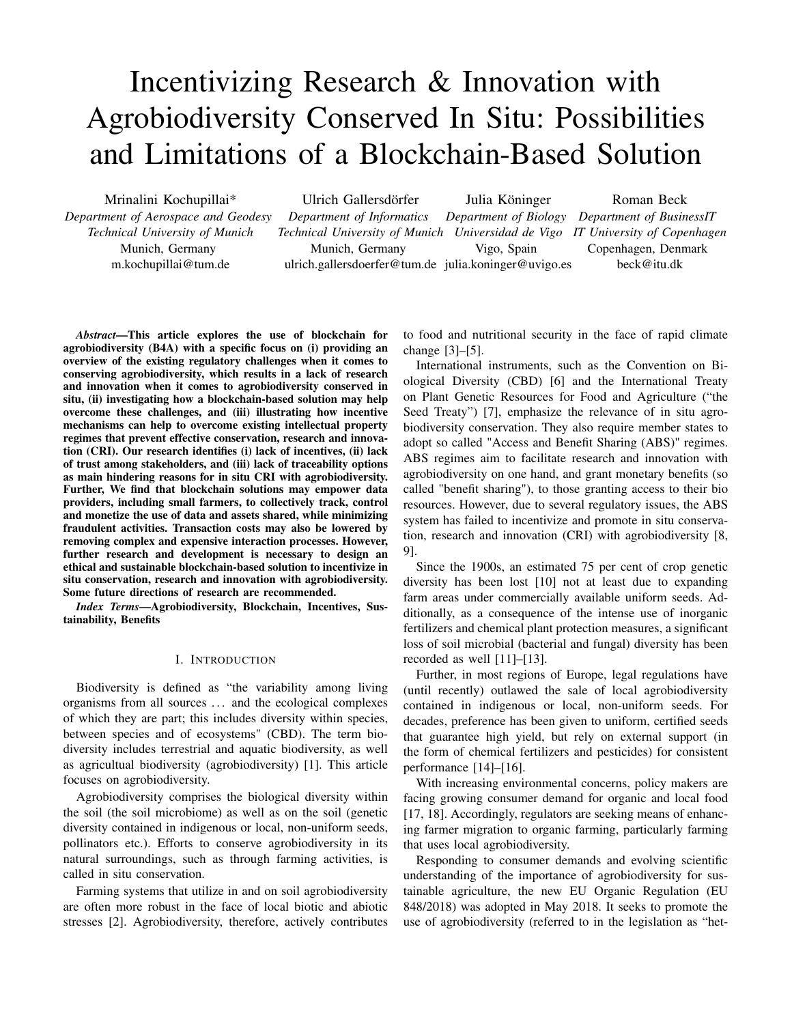# Incentivizing Research & Innovation with Agrobiodiversity Conserved In Situ: Possibilities and Limitations of a Blockchain-Based Solution

Mrinalini Kochupillai\* *Department of Aerospace and Geodesy Technical University of Munich* Munich, Germany m.kochupillai@tum.de Ulrich Gallersdörfer *Department of Informatics Technical University of Munich* Munich, Germany ulrich.gallersdoerfer@tum.de julia.koninger@uvigo.es Julia Köninger *Department of Biology Department of BusinessIT Universidad de Vigo IT University of Copenhagen* Vigo, Spain Roman Beck Copenhagen, Denmark beck@itu.dk

*Abstract*—This article explores the use of blockchain for agrobiodiversity (B4A) with a specific focus on (i) providing an overview of the existing regulatory challenges when it comes to conserving agrobiodiversity, which results in a lack of research and innovation when it comes to agrobiodiversity conserved in situ, (ii) investigating how a blockchain-based solution may help overcome these challenges, and (iii) illustrating how incentive mechanisms can help to overcome existing intellectual property regimes that prevent effective conservation, research and innovation (CRI). Our research identifies (i) lack of incentives, (ii) lack of trust among stakeholders, and (iii) lack of traceability options as main hindering reasons for in situ CRI with agrobiodiversity. Further, We find that blockchain solutions may empower data providers, including small farmers, to collectively track, control and monetize the use of data and assets shared, while minimizing fraudulent activities. Transaction costs may also be lowered by removing complex and expensive interaction processes. However, further research and development is necessary to design an ethical and sustainable blockchain-based solution to incentivize in situ conservation, research and innovation with agrobiodiversity. Some future directions of research are recommended.

*Index Terms*—Agrobiodiversity, Blockchain, Incentives, Sustainability, Benefits

#### I. INTRODUCTION

Biodiversity is defined as "the variability among living organisms from all sources . . . and the ecological complexes of which they are part; this includes diversity within species, between species and of ecosystems" (CBD). The term biodiversity includes terrestrial and aquatic biodiversity, as well as agricultual biodiversity (agrobiodiversity) [\[1\]](#page-12-0). This article focuses on agrobiodiversity.

Agrobiodiversity comprises the biological diversity within the soil (the soil microbiome) as well as on the soil (genetic diversity contained in indigenous or local, non-uniform seeds, pollinators etc.). Efforts to conserve agrobiodiversity in its natural surroundings, such as through farming activities, is called in situ conservation.

Farming systems that utilize in and on soil agrobiodiversity are often more robust in the face of local biotic and abiotic stresses [\[2\]](#page-12-1). Agrobiodiversity, therefore, actively contributes to food and nutritional security in the face of rapid climate change [\[3\]](#page-12-2)–[\[5\]](#page-12-3).

International instruments, such as the Convention on Biological Diversity (CBD) [\[6\]](#page-12-4) and the International Treaty on Plant Genetic Resources for Food and Agriculture ("the Seed Treaty") [\[7\]](#page-12-5), emphasize the relevance of in situ agrobiodiversity conservation. They also require member states to adopt so called "Access and Benefit Sharing (ABS)" regimes. ABS regimes aim to facilitate research and innovation with agrobiodiversity on one hand, and grant monetary benefits (so called "benefit sharing"), to those granting access to their bio resources. However, due to several regulatory issues, the ABS system has failed to incentivize and promote in situ conservation, research and innovation (CRI) with agrobiodiversity [\[8,](#page-12-6) [9\]](#page-13-0).

Since the 1900s, an estimated 75 per cent of crop genetic diversity has been lost [\[10\]](#page-13-1) not at least due to expanding farm areas under commercially available uniform seeds. Additionally, as a consequence of the intense use of inorganic fertilizers and chemical plant protection measures, a significant loss of soil microbial (bacterial and fungal) diversity has been recorded as well [\[11\]](#page-13-2)–[\[13\]](#page-13-3).

Further, in most regions of Europe, legal regulations have (until recently) outlawed the sale of local agrobiodiversity contained in indigenous or local, non-uniform seeds. For decades, preference has been given to uniform, certified seeds that guarantee high yield, but rely on external support (in the form of chemical fertilizers and pesticides) for consistent performance [\[14\]](#page-13-4)–[\[16\]](#page-13-5).

With increasing environmental concerns, policy makers are facing growing consumer demand for organic and local food [\[17,](#page-13-6) [18\]](#page-13-7). Accordingly, regulators are seeking means of enhancing farmer migration to organic farming, particularly farming that uses local agrobiodiversity.

Responding to consumer demands and evolving scientific understanding of the importance of agrobiodiversity for sustainable agriculture, the new EU Organic Regulation (EU 848/2018) was adopted in May 2018. It seeks to promote the use of agrobiodiversity (referred to in the legislation as "het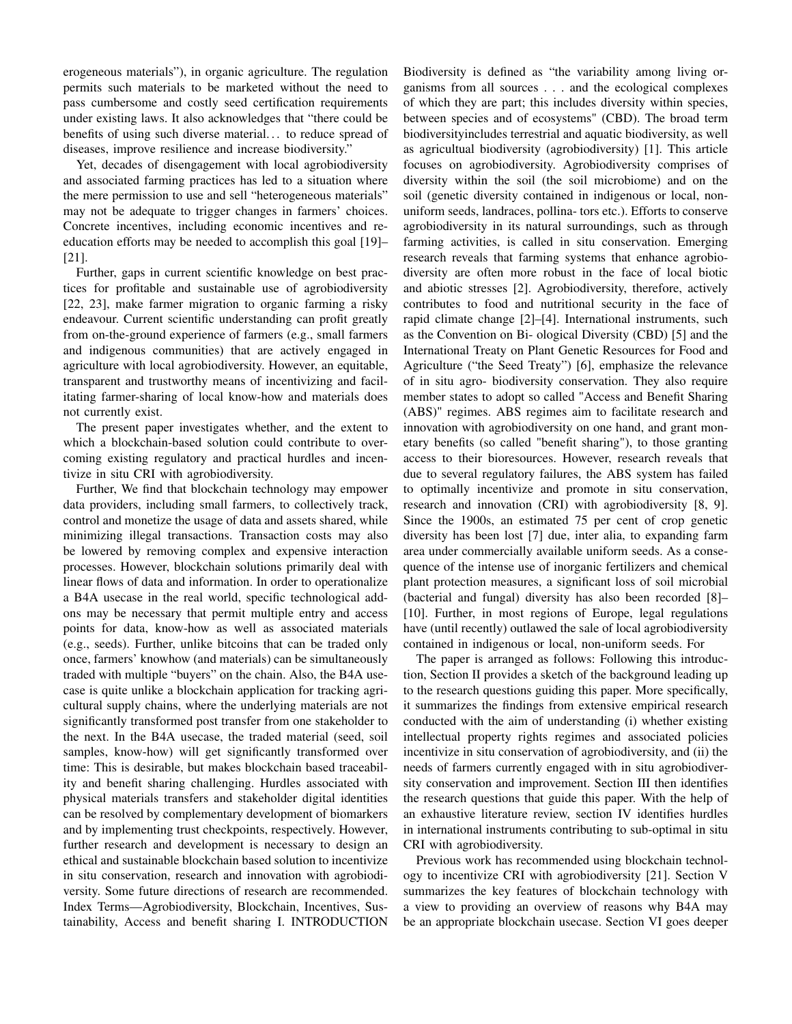erogeneous materials"), in organic agriculture. The regulation permits such materials to be marketed without the need to pass cumbersome and costly seed certification requirements under existing laws. It also acknowledges that "there could be benefits of using such diverse material. . . to reduce spread of diseases, improve resilience and increase biodiversity."

Yet, decades of disengagement with local agrobiodiversity and associated farming practices has led to a situation where the mere permission to use and sell "heterogeneous materials" may not be adequate to trigger changes in farmers' choices. Concrete incentives, including economic incentives and reeducation efforts may be needed to accomplish this goal [\[19\]](#page-13-8)– [\[21\]](#page-13-9).

Further, gaps in current scientific knowledge on best practices for profitable and sustainable use of agrobiodiversity [\[22,](#page-13-10) [23\]](#page-13-11), make farmer migration to organic farming a risky endeavour. Current scientific understanding can profit greatly from on-the-ground experience of farmers (e.g., small farmers and indigenous communities) that are actively engaged in agriculture with local agrobiodiversity. However, an equitable, transparent and trustworthy means of incentivizing and facilitating farmer-sharing of local know-how and materials does not currently exist.

The present paper investigates whether, and the extent to which a blockchain-based solution could contribute to overcoming existing regulatory and practical hurdles and incentivize in situ CRI with agrobiodiversity.

Further, We find that blockchain technology may empower data providers, including small farmers, to collectively track, control and monetize the usage of data and assets shared, while minimizing illegal transactions. Transaction costs may also be lowered by removing complex and expensive interaction processes. However, blockchain solutions primarily deal with linear flows of data and information. In order to operationalize a B4A usecase in the real world, specific technological addons may be necessary that permit multiple entry and access points for data, know-how as well as associated materials (e.g., seeds). Further, unlike bitcoins that can be traded only once, farmers' knowhow (and materials) can be simultaneously traded with multiple "buyers" on the chain. Also, the B4A usecase is quite unlike a blockchain application for tracking agricultural supply chains, where the underlying materials are not significantly transformed post transfer from one stakeholder to the next. In the B4A usecase, the traded material (seed, soil samples, know-how) will get significantly transformed over time: This is desirable, but makes blockchain based traceability and benefit sharing challenging. Hurdles associated with physical materials transfers and stakeholder digital identities can be resolved by complementary development of biomarkers and by implementing trust checkpoints, respectively. However, further research and development is necessary to design an ethical and sustainable blockchain based solution to incentivize in situ conservation, research and innovation with agrobiodiversity. Some future directions of research are recommended. Index Terms—Agrobiodiversity, Blockchain, Incentives, Sustainability, Access and benefit sharing I. INTRODUCTION

Biodiversity is defined as "the variability among living organisms from all sources . . . and the ecological complexes of which they are part; this includes diversity within species, between species and of ecosystems" (CBD). The broad term biodiversityincludes terrestrial and aquatic biodiversity, as well as agricultual biodiversity (agrobiodiversity) [1]. This article focuses on agrobiodiversity. Agrobiodiversity comprises of diversity within the soil (the soil microbiome) and on the soil (genetic diversity contained in indigenous or local, nonuniform seeds, landraces, pollina- tors etc.). Efforts to conserve agrobiodiversity in its natural surroundings, such as through farming activities, is called in situ conservation. Emerging research reveals that farming systems that enhance agrobiodiversity are often more robust in the face of local biotic and abiotic stresses [\[2\]](#page-12-1). Agrobiodiversity, therefore, actively contributes to food and nutritional security in the face of rapid climate change [2]–[4]. International instruments, such as the Convention on Bi- ological Diversity (CBD) [5] and the International Treaty on Plant Genetic Resources for Food and Agriculture ("the Seed Treaty") [6], emphasize the relevance of in situ agro- biodiversity conservation. They also require member states to adopt so called "Access and Benefit Sharing (ABS)" regimes. ABS regimes aim to facilitate research and innovation with agrobiodiversity on one hand, and grant monetary benefits (so called "benefit sharing"), to those granting access to their bioresources. However, research reveals that due to several regulatory failures, the ABS system has failed to optimally incentivize and promote in situ conservation, research and innovation (CRI) with agrobiodiversity [\[8,](#page-12-6) [9\]](#page-13-0). Since the 1900s, an estimated 75 per cent of crop genetic diversity has been lost [7] due, inter alia, to expanding farm area under commercially available uniform seeds. As a consequence of the intense use of inorganic fertilizers and chemical plant protection measures, a significant loss of soil microbial (bacterial and fungal) diversity has also been recorded [8]– [10]. Further, in most regions of Europe, legal regulations have (until recently) outlawed the sale of local agrobiodiversity contained in indigenous or local, non-uniform seeds. For

The paper is arranged as follows: Following this introduction, Section II provides a sketch of the background leading up to the research questions guiding this paper. More specifically, it summarizes the findings from extensive empirical research conducted with the aim of understanding (i) whether existing intellectual property rights regimes and associated policies incentivize in situ conservation of agrobiodiversity, and (ii) the needs of farmers currently engaged with in situ agrobiodiversity conservation and improvement. Section III then identifies the research questions that guide this paper. With the help of an exhaustive literature review, section IV identifies hurdles in international instruments contributing to sub-optimal in situ CRI with agrobiodiversity.

Previous work has recommended using blockchain technology to incentivize CRI with agrobiodiversity [\[21\]](#page-13-9). Section V summarizes the key features of blockchain technology with a view to providing an overview of reasons why B4A may be an appropriate blockchain usecase. Section VI goes deeper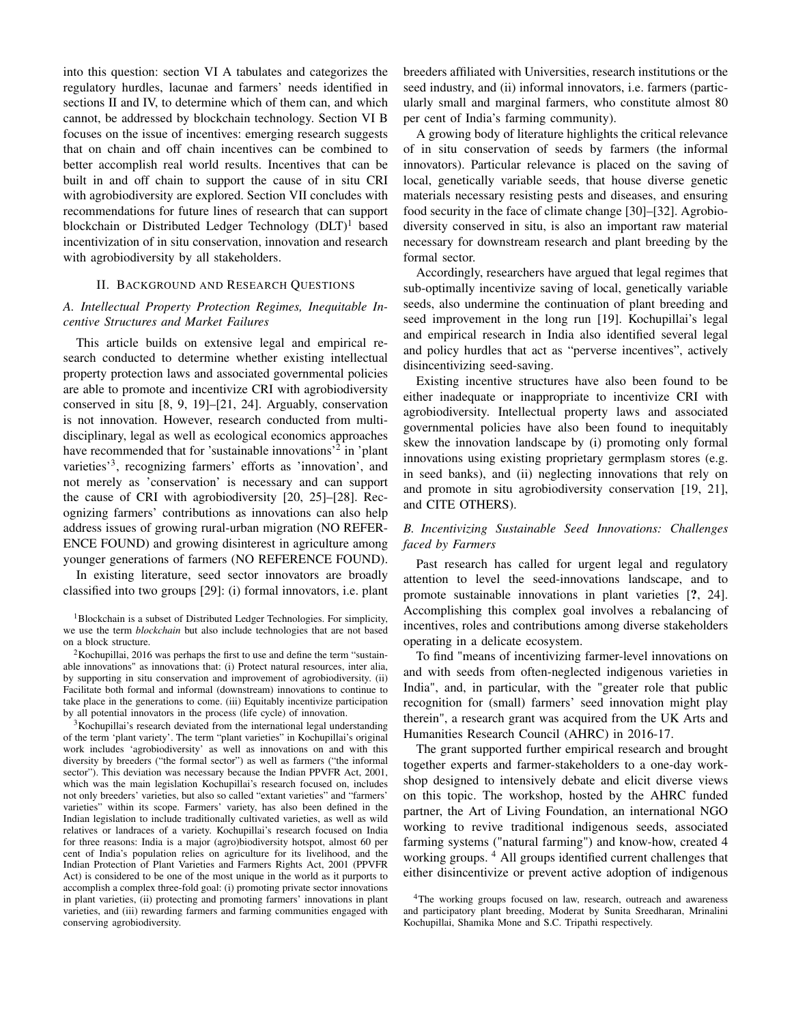into this question: section VI A tabulates and categorizes the regulatory hurdles, lacunae and farmers' needs identified in sections II and IV, to determine which of them can, and which cannot, be addressed by blockchain technology. Section VI B focuses on the issue of incentives: emerging research suggests that on chain and off chain incentives can be combined to better accomplish real world results. Incentives that can be built in and off chain to support the cause of in situ CRI with agrobiodiversity are explored. Section VII concludes with recommendations for future lines of research that can support blockchain or Distributed Ledger Technology  $(DLT)^1$  $(DLT)^1$  based incentivization of in situ conservation, innovation and research with agrobiodiversity by all stakeholders.

#### II. BACKGROUND AND RESEARCH QUESTIONS

#### <span id="page-2-4"></span>*A. Intellectual Property Protection Regimes, Inequitable Incentive Structures and Market Failures*

This article builds on extensive legal and empirical research conducted to determine whether existing intellectual property protection laws and associated governmental policies are able to promote and incentivize CRI with agrobiodiversity conserved in situ [\[8,](#page-12-6) [9,](#page-13-0) [19\]](#page-13-8)–[\[21,](#page-13-9) [24\]](#page-13-12). Arguably, conservation is not innovation. However, research conducted from multidisciplinary, legal as well as ecological economics approaches have recommended that for 'sustainable innovations'<sup>[2](#page-2-1)</sup> in 'plant varieties<sup>[3](#page-2-2)</sup>, recognizing farmers' efforts as 'innovation', and not merely as 'conservation' is necessary and can support the cause of CRI with agrobiodiversity [\[20,](#page-13-13) [25\]](#page-13-14)–[\[28\]](#page-13-15). Recognizing farmers' contributions as innovations can also help address issues of growing rural-urban migration (NO REFER-ENCE FOUND) and growing disinterest in agriculture among younger generations of farmers (NO REFERENCE FOUND).

In existing literature, seed sector innovators are broadly classified into two groups [\[29\]](#page-13-16): (i) formal innovators, i.e. plant

<span id="page-2-0"></span><sup>1</sup>Blockchain is a subset of Distributed Ledger Technologies. For simplicity, we use the term *blockchain* but also include technologies that are not based on a block structure.

<span id="page-2-1"></span><sup>2</sup>Kochupillai, 2016 was perhaps the first to use and define the term "sustainable innovations" as innovations that: (i) Protect natural resources, inter alia, by supporting in situ conservation and improvement of agrobiodiversity. (ii) Facilitate both formal and informal (downstream) innovations to continue to take place in the generations to come. (iii) Equitably incentivize participation by all potential innovators in the process (life cycle) of innovation.

<span id="page-2-2"></span><sup>3</sup>Kochupillai's research deviated from the international legal understanding of the term 'plant variety'. The term "plant varieties" in Kochupillai's original work includes 'agrobiodiversity' as well as innovations on and with this diversity by breeders ("the formal sector") as well as farmers ("the informal sector"). This deviation was necessary because the Indian PPVFR Act, 2001, which was the main legislation Kochupillai's research focused on, includes not only breeders' varieties, but also so called "extant varieties" and "farmers' varieties" within its scope. Farmers' variety, has also been defined in the Indian legislation to include traditionally cultivated varieties, as well as wild relatives or landraces of a variety. Kochupillai's research focused on India for three reasons: India is a major (agro)biodiversity hotspot, almost 60 per cent of India's population relies on agriculture for its livelihood, and the Indian Protection of Plant Varieties and Farmers Rights Act, 2001 (PPVFR Act) is considered to be one of the most unique in the world as it purports to accomplish a complex three-fold goal: (i) promoting private sector innovations in plant varieties, (ii) protecting and promoting farmers' innovations in plant varieties, and (iii) rewarding farmers and farming communities engaged with conserving agrobiodiversity.

breeders affiliated with Universities, research institutions or the seed industry, and (ii) informal innovators, i.e. farmers (particularly small and marginal farmers, who constitute almost 80 per cent of India's farming community).

A growing body of literature highlights the critical relevance of in situ conservation of seeds by farmers (the informal innovators). Particular relevance is placed on the saving of local, genetically variable seeds, that house diverse genetic materials necessary resisting pests and diseases, and ensuring food security in the face of climate change [\[30\]](#page-13-17)–[\[32\]](#page-13-18). Agrobiodiversity conserved in situ, is also an important raw material necessary for downstream research and plant breeding by the formal sector.

Accordingly, researchers have argued that legal regimes that sub-optimally incentivize saving of local, genetically variable seeds, also undermine the continuation of plant breeding and seed improvement in the long run [\[19\]](#page-13-8). Kochupillai's legal and empirical research in India also identified several legal and policy hurdles that act as "perverse incentives", actively disincentivizing seed-saving.

Existing incentive structures have also been found to be either inadequate or inappropriate to incentivize CRI with agrobiodiversity. Intellectual property laws and associated governmental policies have also been found to inequitably skew the innovation landscape by (i) promoting only formal innovations using existing proprietary germplasm stores (e.g. in seed banks), and (ii) neglecting innovations that rely on and promote in situ agrobiodiversity conservation [\[19,](#page-13-8) [21\]](#page-13-9), and CITE OTHERS).

# *B. Incentivizing Sustainable Seed Innovations: Challenges faced by Farmers*

Past research has called for urgent legal and regulatory attention to level the seed-innovations landscape, and to promote sustainable innovations in plant varieties [?, [24\]](#page-13-12). Accomplishing this complex goal involves a rebalancing of incentives, roles and contributions among diverse stakeholders operating in a delicate ecosystem.

To find "means of incentivizing farmer-level innovations on and with seeds from often-neglected indigenous varieties in India", and, in particular, with the "greater role that public recognition for (small) farmers' seed innovation might play therein", a research grant was acquired from the UK Arts and Humanities Research Council (AHRC) in 2016-17.

The grant supported further empirical research and brought together experts and farmer-stakeholders to a one-day workshop designed to intensively debate and elicit diverse views on this topic. The workshop, hosted by the AHRC funded partner, the Art of Living Foundation, an international NGO working to revive traditional indigenous seeds, associated farming systems ("natural farming") and know-how, created 4 working groups. [4](#page-2-3) All groups identified current challenges that either disincentivize or prevent active adoption of indigenous

<span id="page-2-3"></span><sup>&</sup>lt;sup>4</sup>The working groups focused on law, research, outreach and awareness and participatory plant breeding, Moderat by Sunita Sreedharan, Mrinalini Kochupillai, Shamika Mone and S.C. Tripathi respectively.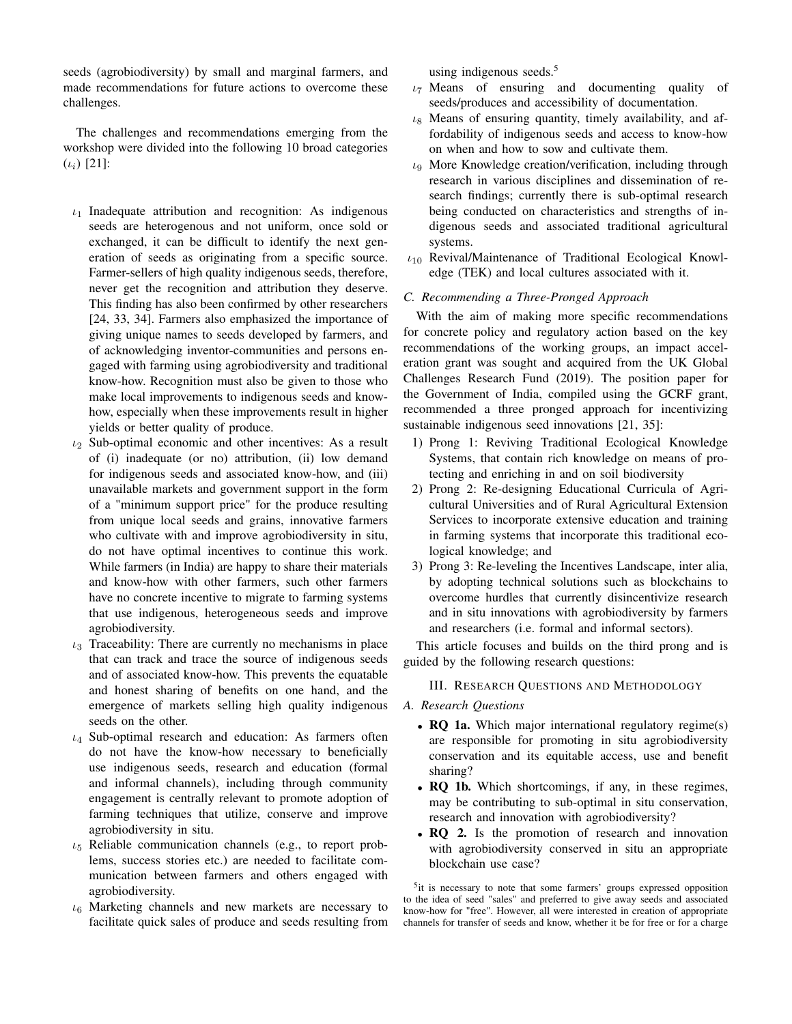seeds (agrobiodiversity) by small and marginal farmers, and made recommendations for future actions to overcome these challenges.

The challenges and recommendations emerging from the workshop were divided into the following 10 broad categories  $(\iota_i)$  [\[21\]](#page-13-9):

- $\iota_1$  Inadequate attribution and recognition: As indigenous seeds are heterogenous and not uniform, once sold or exchanged, it can be difficult to identify the next generation of seeds as originating from a specific source. Farmer-sellers of high quality indigenous seeds, therefore, never get the recognition and attribution they deserve. This finding has also been confirmed by other researchers [\[24,](#page-13-12) [33,](#page-13-19) [34\]](#page-13-20). Farmers also emphasized the importance of giving unique names to seeds developed by farmers, and of acknowledging inventor-communities and persons engaged with farming using agrobiodiversity and traditional know-how. Recognition must also be given to those who make local improvements to indigenous seeds and knowhow, especially when these improvements result in higher yields or better quality of produce.
- $\iota_2$  Sub-optimal economic and other incentives: As a result of (i) inadequate (or no) attribution, (ii) low demand for indigenous seeds and associated know-how, and (iii) unavailable markets and government support in the form of a "minimum support price" for the produce resulting from unique local seeds and grains, innovative farmers who cultivate with and improve agrobiodiversity in situ, do not have optimal incentives to continue this work. While farmers (in India) are happy to share their materials and know-how with other farmers, such other farmers have no concrete incentive to migrate to farming systems that use indigenous, heterogeneous seeds and improve agrobiodiversity.
- $\iota_3$  Traceability: There are currently no mechanisms in place that can track and trace the source of indigenous seeds and of associated know-how. This prevents the equatable and honest sharing of benefits on one hand, and the emergence of markets selling high quality indigenous seeds on the other.
- $\iota_4$  Sub-optimal research and education: As farmers often do not have the know-how necessary to beneficially use indigenous seeds, research and education (formal and informal channels), including through community engagement is centrally relevant to promote adoption of farming techniques that utilize, conserve and improve agrobiodiversity in situ.
- $\iota_5$  Reliable communication channels (e.g., to report problems, success stories etc.) are needed to facilitate communication between farmers and others engaged with agrobiodiversity.
- $\iota_6$  Marketing channels and new markets are necessary to facilitate quick sales of produce and seeds resulting from

using indigenous seeds. $5$ 

- $\iota_7$  Means of ensuring and documenting quality of seeds/produces and accessibility of documentation.
- $\iota_8$  Means of ensuring quantity, timely availability, and affordability of indigenous seeds and access to know-how on when and how to sow and cultivate them.
- $\iota_9$  More Knowledge creation/verification, including through research in various disciplines and dissemination of research findings; currently there is sub-optimal research being conducted on characteristics and strengths of indigenous seeds and associated traditional agricultural systems.
- $t_{10}$  Revival/Maintenance of Traditional Ecological Knowledge (TEK) and local cultures associated with it.

#### *C. Recommending a Three-Pronged Approach*

With the aim of making more specific recommendations for concrete policy and regulatory action based on the key recommendations of the working groups, an impact acceleration grant was sought and acquired from the UK Global Challenges Research Fund (2019). The position paper for the Government of India, compiled using the GCRF grant, recommended a three pronged approach for incentivizing sustainable indigenous seed innovations [\[21,](#page-13-9) [35\]](#page-13-21):

- 1) Prong 1: Reviving Traditional Ecological Knowledge Systems, that contain rich knowledge on means of protecting and enriching in and on soil biodiversity
- 2) Prong 2: Re-designing Educational Curricula of Agricultural Universities and of Rural Agricultural Extension Services to incorporate extensive education and training in farming systems that incorporate this traditional ecological knowledge; and
- 3) Prong 3: Re-leveling the Incentives Landscape, inter alia, by adopting technical solutions such as blockchains to overcome hurdles that currently disincentivize research and in situ innovations with agrobiodiversity by farmers and researchers (i.e. formal and informal sectors).

This article focuses and builds on the third prong and is guided by the following research questions:

#### III. RESEARCH QUESTIONS AND METHODOLOGY

#### *A. Research Questions*

- RQ 1a. Which major international regulatory regime(s) are responsible for promoting in situ agrobiodiversity conservation and its equitable access, use and benefit sharing?
- RQ 1b. Which shortcomings, if any, in these regimes, may be contributing to sub-optimal in situ conservation, research and innovation with agrobiodiversity?
- RQ 2. Is the promotion of research and innovation with agrobiodiversity conserved in situ an appropriate blockchain use case?

<span id="page-3-0"></span><sup>5</sup>it is necessary to note that some farmers' groups expressed opposition to the idea of seed "sales" and preferred to give away seeds and associated know-how for "free". However, all were interested in creation of appropriate channels for transfer of seeds and know, whether it be for free or for a charge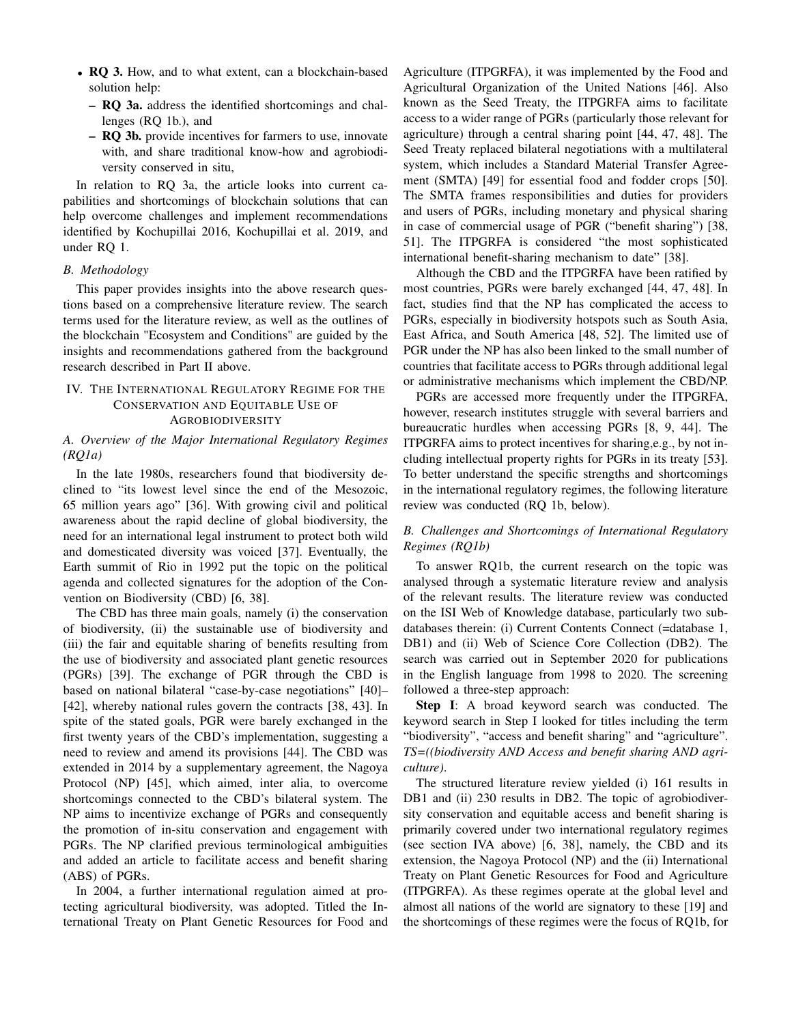- RQ 3. How, and to what extent, can a blockchain-based solution help:
	- RQ 3a. address the identified shortcomings and challenges (RQ 1b.), and
	- RQ 3b. provide incentives for farmers to use, innovate with, and share traditional know-how and agrobiodiversity conserved in situ,

In relation to RQ 3a, the article looks into current capabilities and shortcomings of blockchain solutions that can help overcome challenges and implement recommendations identified by Kochupillai 2016, Kochupillai et al. 2019, and under RQ 1.

#### *B. Methodology*

This paper provides insights into the above research questions based on a comprehensive literature review. The search terms used for the literature review, as well as the outlines of the blockchain "Ecosystem and Conditions" are guided by the insights and recommendations gathered from the background research described in Part II above.

# <span id="page-4-0"></span>IV. THE INTERNATIONAL REGULATORY REGIME FOR THE CONSERVATION AND EQUITABLE USE OF AGROBIODIVERSITY

#### *A. Overview of the Major International Regulatory Regimes (RQ1a)*

In the late 1980s, researchers found that biodiversity declined to "its lowest level since the end of the Mesozoic, 65 million years ago" [\[36\]](#page-13-22). With growing civil and political awareness about the rapid decline of global biodiversity, the need for an international legal instrument to protect both wild and domesticated diversity was voiced [\[37\]](#page-13-23). Eventually, the Earth summit of Rio in 1992 put the topic on the political agenda and collected signatures for the adoption of the Convention on Biodiversity (CBD) [\[6,](#page-12-4) [38\]](#page-13-24).

The CBD has three main goals, namely (i) the conservation of biodiversity, (ii) the sustainable use of biodiversity and (iii) the fair and equitable sharing of benefits resulting from the use of biodiversity and associated plant genetic resources (PGRs) [\[39\]](#page-13-25). The exchange of PGR through the CBD is based on national bilateral "case-by-case negotiations" [\[40\]](#page-13-26)– [\[42\]](#page-13-27), whereby national rules govern the contracts [\[38,](#page-13-24) [43\]](#page-13-28). In spite of the stated goals, PGR were barely exchanged in the first twenty years of the CBD's implementation, suggesting a need to review and amend its provisions [\[44\]](#page-13-29). The CBD was extended in 2014 by a supplementary agreement, the Nagoya Protocol (NP) [\[45\]](#page-13-30), which aimed, inter alia, to overcome shortcomings connected to the CBD's bilateral system. The NP aims to incentivize exchange of PGRs and consequently the promotion of in-situ conservation and engagement with PGRs. The NP clarified previous terminological ambiguities and added an article to facilitate access and benefit sharing (ABS) of PGRs.

In 2004, a further international regulation aimed at protecting agricultural biodiversity, was adopted. Titled the International Treaty on Plant Genetic Resources for Food and Agriculture (ITPGRFA), it was implemented by the Food and Agricultural Organization of the United Nations [\[46\]](#page-13-31). Also known as the Seed Treaty, the ITPGRFA aims to facilitate access to a wider range of PGRs (particularly those relevant for agriculture) through a central sharing point [\[44,](#page-13-29) [47,](#page-13-32) [48\]](#page-13-33). The Seed Treaty replaced bilateral negotiations with a multilateral system, which includes a Standard Material Transfer Agreement (SMTA) [\[49\]](#page-13-34) for essential food and fodder crops [\[50\]](#page-13-35). The SMTA frames responsibilities and duties for providers and users of PGRs, including monetary and physical sharing in case of commercial usage of PGR ("benefit sharing") [\[38,](#page-13-24) [51\]](#page-13-36). The ITPGRFA is considered "the most sophisticated international benefit-sharing mechanism to date" [\[38\]](#page-13-24).

Although the CBD and the ITPGRFA have been ratified by most countries, PGRs were barely exchanged [\[44,](#page-13-29) [47,](#page-13-32) [48\]](#page-13-33). In fact, studies find that the NP has complicated the access to PGRs, especially in biodiversity hotspots such as South Asia, East Africa, and South America [\[48,](#page-13-33) [52\]](#page-13-37). The limited use of PGR under the NP has also been linked to the small number of countries that facilitate access to PGRs through additional legal or administrative mechanisms which implement the CBD/NP.

PGRs are accessed more frequently under the ITPGRFA, however, research institutes struggle with several barriers and bureaucratic hurdles when accessing PGRs [\[8,](#page-12-6) [9,](#page-13-0) [44\]](#page-13-29). The ITPGRFA aims to protect incentives for sharing,e.g., by not including intellectual property rights for PGRs in its treaty [\[53\]](#page-13-38). To better understand the specific strengths and shortcomings in the international regulatory regimes, the following literature review was conducted (RQ 1b, below).

# *B. Challenges and Shortcomings of International Regulatory Regimes (RQ1b)*

To answer RQ1b, the current research on the topic was analysed through a systematic literature review and analysis of the relevant results. The literature review was conducted on the ISI Web of Knowledge database, particularly two subdatabases therein: (i) Current Contents Connect (=database 1, DB1) and (ii) Web of Science Core Collection (DB2). The search was carried out in September 2020 for publications in the English language from 1998 to 2020. The screening followed a three-step approach:

Step I: A broad keyword search was conducted. The keyword search in Step I looked for titles including the term "biodiversity", "access and benefit sharing" and "agriculture". *TS=((biodiversity AND Access and benefit sharing AND agriculture)*.

The structured literature review yielded (i) 161 results in DB1 and (ii) 230 results in DB2. The topic of agrobiodiversity conservation and equitable access and benefit sharing is primarily covered under two international regulatory regimes (see section IVA above) [\[6,](#page-12-4) [38\]](#page-13-24), namely, the CBD and its extension, the Nagoya Protocol (NP) and the (ii) International Treaty on Plant Genetic Resources for Food and Agriculture (ITPGRFA). As these regimes operate at the global level and almost all nations of the world are signatory to these [\[19\]](#page-13-8) and the shortcomings of these regimes were the focus of RQ1b, for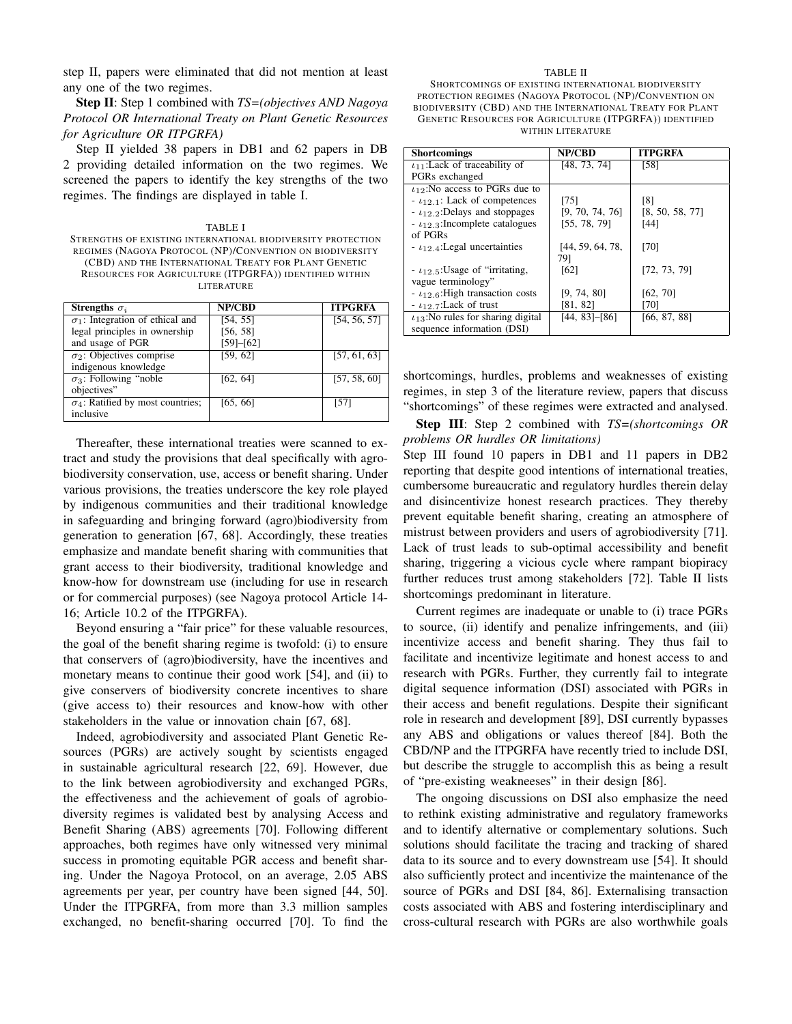step II, papers were eliminated that did not mention at least any one of the two regimes.

Step II: Step 1 combined with *TS=(objectives AND Nagoya Protocol OR International Treaty on Plant Genetic Resources for Agriculture OR ITPGRFA)*

Step II yielded 38 papers in DB1 and 62 papers in DB 2 providing detailed information on the two regimes. We screened the papers to identify the key strengths of the two regimes. The findings are displayed in table [I.](#page-5-0)

<span id="page-5-0"></span>TABLE I STRENGTHS OF EXISTING INTERNATIONAL BIODIVERSITY PROTECTION REGIMES (NAGOYA PROTOCOL (NP)/CONVENTION ON BIODIVERSITY (CBD) AND THE INTERNATIONAL TREATY FOR PLANT GENETIC RESOURCES FOR AGRICULTURE (ITPGRFA)) IDENTIFIED WITHIN LITERATURE

| Strengths $\sigma_i$                     | <b>NP/CBD</b> | <b>ITPGRFA</b> |
|------------------------------------------|---------------|----------------|
| $\sigma_1$ : Integration of ethical and  | [54, 55]      | [54, 56, 57]   |
| legal principles in ownership            | [56, 58]      |                |
| and usage of PGR                         | [59]–[62]     |                |
| $\sigma_2$ : Objectives comprise         | [59, 62]      | [57, 61, 63]   |
| indigenous knowledge                     |               |                |
| $\sigma_3$ : Following "noble"           | [62, 64]      | [57, 58, 60]   |
| objectives"                              |               |                |
| $\sigma_4$ : Ratified by most countries; | [65, 66]      | [57]           |
| inclusive                                |               |                |

Thereafter, these international treaties were scanned to extract and study the provisions that deal specifically with agrobiodiversity conservation, use, access or benefit sharing. Under various provisions, the treaties underscore the key role played by indigenous communities and their traditional knowledge in safeguarding and bringing forward (agro)biodiversity from generation to generation [\[67,](#page-14-10) [68\]](#page-14-11). Accordingly, these treaties emphasize and mandate benefit sharing with communities that grant access to their biodiversity, traditional knowledge and know-how for downstream use (including for use in research or for commercial purposes) (see Nagoya protocol Article 14- 16; Article 10.2 of the ITPGRFA).

Beyond ensuring a "fair price" for these valuable resources, the goal of the benefit sharing regime is twofold: (i) to ensure that conservers of (agro)biodiversity, have the incentives and monetary means to continue their good work [\[54\]](#page-13-39), and (ii) to give conservers of biodiversity concrete incentives to share (give access to) their resources and know-how with other stakeholders in the value or innovation chain [\[67,](#page-14-10) [68\]](#page-14-11).

Indeed, agrobiodiversity and associated Plant Genetic Resources (PGRs) are actively sought by scientists engaged in sustainable agricultural research [\[22,](#page-13-10) [69\]](#page-14-12). However, due to the link between agrobiodiversity and exchanged PGRs, the effectiveness and the achievement of goals of agrobiodiversity regimes is validated best by analysing Access and Benefit Sharing (ABS) agreements [\[70\]](#page-14-13). Following different approaches, both regimes have only witnessed very minimal success in promoting equitable PGR access and benefit sharing. Under the Nagoya Protocol, on an average, 2.05 ABS agreements per year, per country have been signed [\[44,](#page-13-29) [50\]](#page-13-35). Under the ITPGRFA, from more than 3.3 million samples exchanged, no benefit-sharing occurred [\[70\]](#page-14-13). To find the

#### TABLE II

SHORTCOMINGS OF EXISTING INTERNATIONAL BIODIVERSITY PROTECTION REGIMES (NAGOYA PROTOCOL (NP)/CONVENTION ON BIODIVERSITY (CBD) AND THE INTERNATIONAL TREATY FOR PLANT GENETIC RESOURCES FOR AGRICULTURE (ITPGRFA)) IDENTIFIED WITHIN LITERATURE

|                     | <b>ITPGRFA</b>  |
|---------------------|-----------------|
|                     |                 |
| [48, 73, 74]        | [58]            |
|                     |                 |
|                     |                 |
| [75]                | [8]             |
| [9, 70, 74, 76]     | [8, 50, 58, 77] |
| [55, 78, 79]        | [44]            |
|                     |                 |
| [44, 59, 64, 78,    | [70]            |
| 791                 |                 |
| [62]                | [72, 73, 79]    |
|                     |                 |
| [9, 74, 80]         | [62, 70]        |
| [81, 82]            | [70]            |
| $[44, 83]$ - $[86]$ | [66, 87, 88]    |
|                     |                 |
|                     | <b>NP/CBD</b>   |

shortcomings, hurdles, problems and weaknesses of existing regimes, in step 3 of the literature review, papers that discuss "shortcomings" of these regimes were extracted and analysed.

Step III: Step 2 combined with *TS=(shortcomings OR problems OR hurdles OR limitations)*

Step III found 10 papers in DB1 and 11 papers in DB2 reporting that despite good intentions of international treaties, cumbersome bureaucratic and regulatory hurdles therein delay and disincentivize honest research practices. They thereby prevent equitable benefit sharing, creating an atmosphere of mistrust between providers and users of agrobiodiversity [\[71\]](#page-14-29). Lack of trust leads to sub-optimal accessibility and benefit sharing, triggering a vicious cycle where rampant biopiracy further reduces trust among stakeholders [\[72\]](#page-14-21). Table II lists shortcomings predominant in literature.

Current regimes are inadequate or unable to (i) trace PGRs to source, (ii) identify and penalize infringements, and (iii) incentivize access and benefit sharing. They thus fail to facilitate and incentivize legitimate and honest access to and research with PGRs. Further, they currently fail to integrate digital sequence information (DSI) associated with PGRs in their access and benefit regulations. Despite their significant role in research and development [\[89\]](#page-14-30), DSI currently bypasses any ABS and obligations or values thereof [\[84\]](#page-14-31). Both the CBD/NP and the ITPGRFA have recently tried to include DSI, but describe the struggle to accomplish this as being a result of "pre-existing weakneeses" in their design [\[86\]](#page-14-26).

The ongoing discussions on DSI also emphasize the need to rethink existing administrative and regulatory frameworks and to identify alternative or complementary solutions. Such solutions should facilitate the tracing and tracking of shared data to its source and to every downstream use [\[54\]](#page-13-39). It should also sufficiently protect and incentivize the maintenance of the source of PGRs and DSI [\[84,](#page-14-31) [86\]](#page-14-26). Externalising transaction costs associated with ABS and fostering interdisciplinary and cross-cultural research with PGRs are also worthwhile goals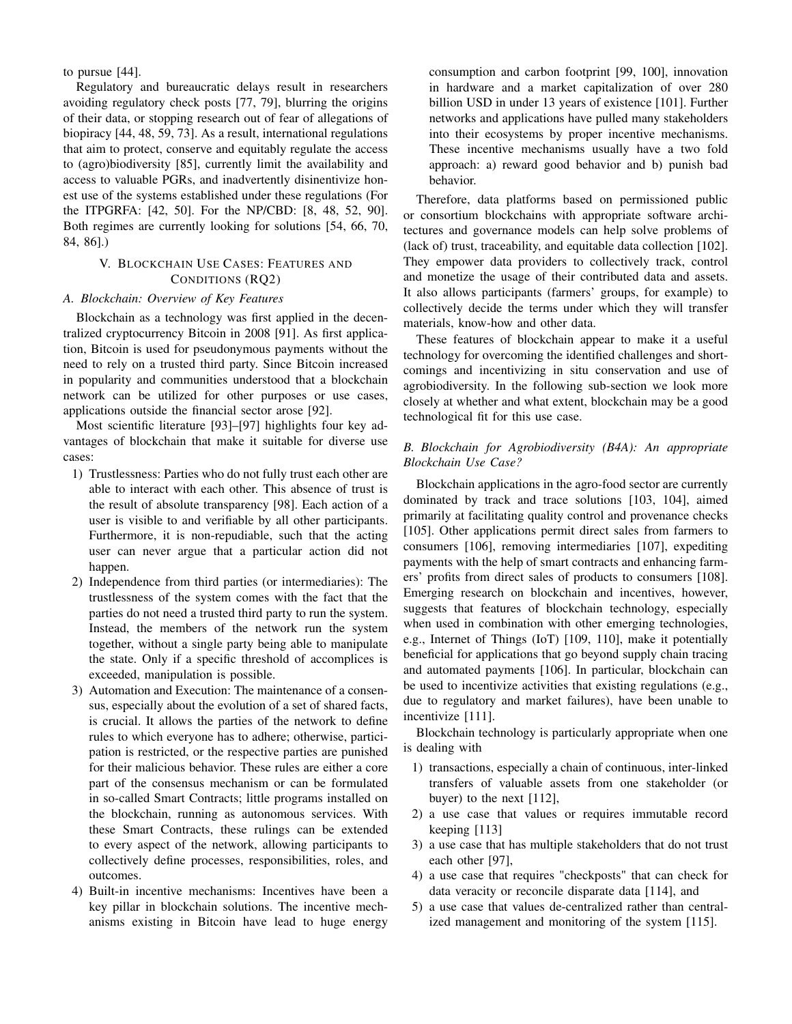to pursue [\[44\]](#page-13-29).

Regulatory and bureaucratic delays result in researchers avoiding regulatory check posts [\[77,](#page-14-18) [79\]](#page-14-20), blurring the origins of their data, or stopping research out of fear of allegations of biopiracy [\[44,](#page-13-29) [48,](#page-13-33) [59,](#page-14-2) [73\]](#page-14-14). As a result, international regulations that aim to protect, conserve and equitably regulate the access to (agro)biodiversity [\[85\]](#page-14-32), currently limit the availability and access to valuable PGRs, and inadvertently disinentivize honest use of the systems established under these regulations (For the ITPGRFA: [\[42,](#page-13-27) [50\]](#page-13-35). For the NP/CBD: [\[8,](#page-12-6) [48,](#page-13-33) [52,](#page-13-37) [90\]](#page-14-33). Both regimes are currently looking for solutions [\[54,](#page-13-39) [66,](#page-14-9) [70,](#page-14-13) [84,](#page-14-31) [86\]](#page-14-26).)

#### V. BLOCKCHAIN USE CASES: FEATURES AND CONDITIONS (RQ2)

#### *A. Blockchain: Overview of Key Features*

Blockchain as a technology was first applied in the decentralized cryptocurrency Bitcoin in 2008 [\[91\]](#page-14-34). As first application, Bitcoin is used for pseudonymous payments without the need to rely on a trusted third party. Since Bitcoin increased in popularity and communities understood that a blockchain network can be utilized for other purposes or use cases, applications outside the financial sector arose [\[92\]](#page-14-35).

Most scientific literature [\[93\]](#page-14-36)–[\[97\]](#page-15-0) highlights four key advantages of blockchain that make it suitable for diverse use cases:

- 1) Trustlessness: Parties who do not fully trust each other are able to interact with each other. This absence of trust is the result of absolute transparency [\[98\]](#page-15-1). Each action of a user is visible to and verifiable by all other participants. Furthermore, it is non-repudiable, such that the acting user can never argue that a particular action did not happen.
- 2) Independence from third parties (or intermediaries): The trustlessness of the system comes with the fact that the parties do not need a trusted third party to run the system. Instead, the members of the network run the system together, without a single party being able to manipulate the state. Only if a specific threshold of accomplices is exceeded, manipulation is possible.
- 3) Automation and Execution: The maintenance of a consensus, especially about the evolution of a set of shared facts, is crucial. It allows the parties of the network to define rules to which everyone has to adhere; otherwise, participation is restricted, or the respective parties are punished for their malicious behavior. These rules are either a core part of the consensus mechanism or can be formulated in so-called Smart Contracts; little programs installed on the blockchain, running as autonomous services. With these Smart Contracts, these rulings can be extended to every aspect of the network, allowing participants to collectively define processes, responsibilities, roles, and outcomes.
- 4) Built-in incentive mechanisms: Incentives have been a key pillar in blockchain solutions. The incentive mechanisms existing in Bitcoin have lead to huge energy

consumption and carbon footprint [\[99,](#page-15-2) [100\]](#page-15-3), innovation in hardware and a market capitalization of over 280 billion USD in under 13 years of existence [\[101\]](#page-15-4). Further networks and applications have pulled many stakeholders into their ecosystems by proper incentive mechanisms. These incentive mechanisms usually have a two fold approach: a) reward good behavior and b) punish bad behavior.

Therefore, data platforms based on permissioned public or consortium blockchains with appropriate software architectures and governance models can help solve problems of (lack of) trust, traceability, and equitable data collection [\[102\]](#page-15-5). They empower data providers to collectively track, control and monetize the usage of their contributed data and assets. It also allows participants (farmers' groups, for example) to collectively decide the terms under which they will transfer materials, know-how and other data.

These features of blockchain appear to make it a useful technology for overcoming the identified challenges and shortcomings and incentivizing in situ conservation and use of agrobiodiversity. In the following sub-section we look more closely at whether and what extent, blockchain may be a good technological fit for this use case.

# *B. Blockchain for Agrobiodiversity (B4A): An appropriate Blockchain Use Case?*

Blockchain applications in the agro-food sector are currently dominated by track and trace solutions [\[103,](#page-15-6) [104\]](#page-15-7), aimed primarily at facilitating quality control and provenance checks [\[105\]](#page-15-8). Other applications permit direct sales from farmers to consumers [\[106\]](#page-15-9), removing intermediaries [\[107\]](#page-15-10), expediting payments with the help of smart contracts and enhancing farmers' profits from direct sales of products to consumers [\[108\]](#page-15-11). Emerging research on blockchain and incentives, however, suggests that features of blockchain technology, especially when used in combination with other emerging technologies, e.g., Internet of Things (IoT) [\[109,](#page-15-12) [110\]](#page-15-13), make it potentially beneficial for applications that go beyond supply chain tracing and automated payments [\[106\]](#page-15-9). In particular, blockchain can be used to incentivize activities that existing regulations (e.g., due to regulatory and market failures), have been unable to incentivize [\[111\]](#page-15-14).

Blockchain technology is particularly appropriate when one is dealing with

- 1) transactions, especially a chain of continuous, inter-linked transfers of valuable assets from one stakeholder (or buyer) to the next [\[112\]](#page-15-15),
- 2) a use case that values or requires immutable record keeping [\[113\]](#page-15-16)
- 3) a use case that has multiple stakeholders that do not trust each other [\[97\]](#page-15-0),
- 4) a use case that requires "checkposts" that can check for data veracity or reconcile disparate data [\[114\]](#page-15-17), and
- 5) a use case that values de-centralized rather than centralized management and monitoring of the system [\[115\]](#page-15-18).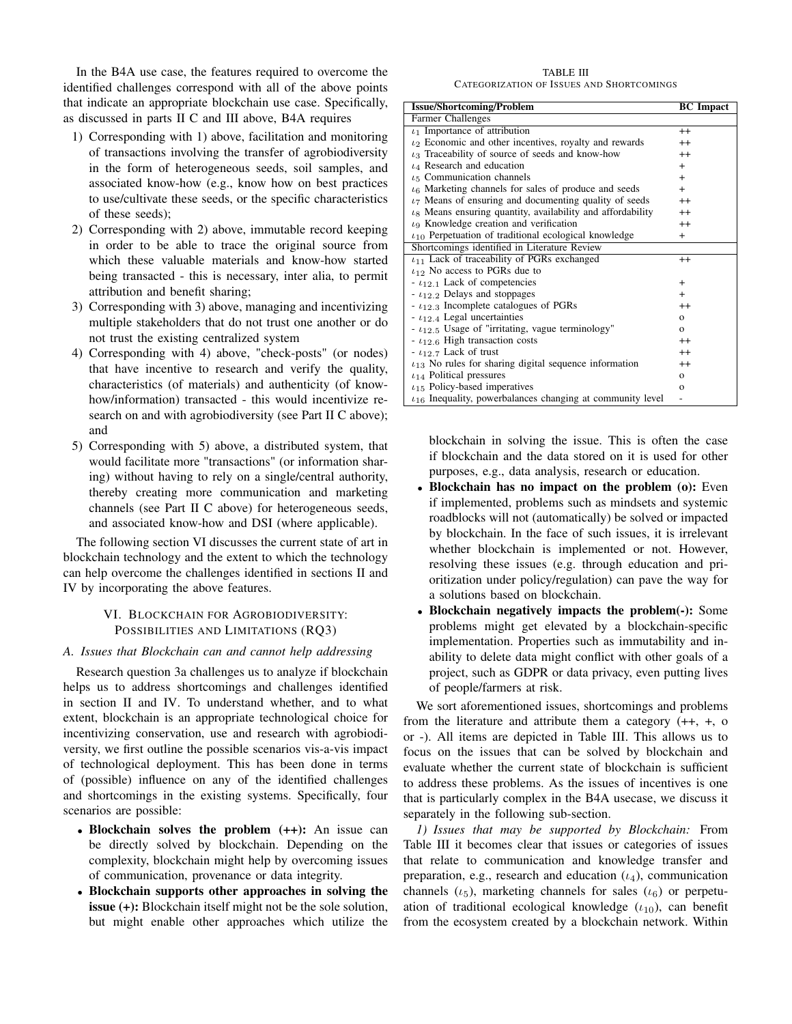In the B4A use case, the features required to overcome the identified challenges correspond with all of the above points that indicate an appropriate blockchain use case. Specifically, as discussed in parts II C and III above, B4A requires

- 1) Corresponding with 1) above, facilitation and monitoring of transactions involving the transfer of agrobiodiversity in the form of heterogeneous seeds, soil samples, and associated know-how (e.g., know how on best practices to use/cultivate these seeds, or the specific characteristics of these seeds);
- 2) Corresponding with 2) above, immutable record keeping in order to be able to trace the original source from which these valuable materials and know-how started being transacted - this is necessary, inter alia, to permit attribution and benefit sharing;
- 3) Corresponding with 3) above, managing and incentivizing multiple stakeholders that do not trust one another or do not trust the existing centralized system
- 4) Corresponding with 4) above, "check-posts" (or nodes) that have incentive to research and verify the quality, characteristics (of materials) and authenticity (of knowhow/information) transacted - this would incentivize research on and with agrobiodiversity (see Part II C above); and
- 5) Corresponding with 5) above, a distributed system, that would facilitate more "transactions" (or information sharing) without having to rely on a single/central authority, thereby creating more communication and marketing channels (see Part II C above) for heterogeneous seeds, and associated know-how and DSI (where applicable).

The following section [VI](#page-7-0) discusses the current state of art in blockchain technology and the extent to which the technology can help overcome the challenges identified in sections [II](#page-2-4) and [IV](#page-4-0) by incorporating the above features.

#### VI. BLOCKCHAIN FOR AGROBIODIVERSITY: POSSIBILITIES AND LIMITATIONS (RQ3)

#### <span id="page-7-0"></span>*A. Issues that Blockchain can and cannot help addressing*

Research question 3a challenges us to analyze if blockchain helps us to address shortcomings and challenges identified in section [II](#page-2-4) and [IV.](#page-4-0) To understand whether, and to what extent, blockchain is an appropriate technological choice for incentivizing conservation, use and research with agrobiodiversity, we first outline the possible scenarios vis-a-vis impact of technological deployment. This has been done in terms of (possible) influence on any of the identified challenges and shortcomings in the existing systems. Specifically, four scenarios are possible:

- Blockchain solves the problem (++): An issue can be directly solved by blockchain. Depending on the complexity, blockchain might help by overcoming issues of communication, provenance or data integrity.
- Blockchain supports other approaches in solving the issue (+): Blockchain itself might not be the sole solution, but might enable other approaches which utilize the

#### TABLE III CATEGORIZATION OF ISSUES AND SHORTCOMINGS

<span id="page-7-1"></span>

| <b>Issue/Shortcoming/Problem</b>                                        | <b>BC</b> Impact |
|-------------------------------------------------------------------------|------------------|
| Farmer Challenges                                                       |                  |
| $\iota_1$ Importance of attribution                                     | $^{++}$          |
| $\iota_2$ Economic and other incentives, royalty and rewards            | $^{++}$          |
| $\iota_3$ Traceability of source of seeds and know-how                  | $^{++}$          |
| $\iota_4$ Research and education                                        | $+$              |
| $\iota_5$ Communication channels                                        | $+$              |
| $\iota_6$ Marketing channels for sales of produce and seeds             | $^{+}$           |
| $\iota$ <sub>7</sub> Means of ensuring and documenting quality of seeds | $^{++}$          |
| $\iota_8$ Means ensuring quantity, availability and affordability       | $^{++}$          |
| $\iota_9$ Knowledge creation and verification                           | $^{++}$          |
| $t_{10}$ Perpetuation of traditional ecological knowledge               | $^{+}$           |
| Shortcomings identified in Literature Review                            |                  |
| $t_{11}$ Lack of traceability of PGRs exchanged                         | $^{++}$          |
| $t_{12}$ No access to PGRs due to                                       |                  |
| $ \iota_{12,1}$ Lack of competencies                                    | $\pm$            |
| $ \iota_{12,2}$ Delays and stoppages                                    | $+$              |
| $- t_{12.3}$ Incomplete catalogues of PGRs                              | $^{++}$          |
| $ \iota_{12.4}$ Legal uncertainties                                     | $\mathbf{o}$     |
| $ \iota_{12.5}$ Usage of "irritating, vague terminology"                | $\Omega$         |
| - $\iota_{12.6}$ High transaction costs                                 | $^{++}$          |
| $ \iota_{12.7}$ Lack of trust                                           | $^{++}$          |
| $t_{13}$ No rules for sharing digital sequence information              | $^{++}$          |
| $t_{14}$ Political pressures                                            | $\mathbf{o}$     |
| $t_{15}$ Policy-based imperatives                                       | $\mathbf{o}$     |
| $t_{16}$ Inequality, powerbalances changing at community level          |                  |

blockchain in solving the issue. This is often the case if blockchain and the data stored on it is used for other purposes, e.g., data analysis, research or education.

- Blockchain has no impact on the problem (o): Even if implemented, problems such as mindsets and systemic roadblocks will not (automatically) be solved or impacted by blockchain. In the face of such issues, it is irrelevant whether blockchain is implemented or not. However, resolving these issues (e.g. through education and prioritization under policy/regulation) can pave the way for a solutions based on blockchain.
- Blockchain negatively impacts the problem(-): Some problems might get elevated by a blockchain-specific implementation. Properties such as immutability and inability to delete data might conflict with other goals of a project, such as GDPR or data privacy, even putting lives of people/farmers at risk.

We sort aforementioned issues, shortcomings and problems from the literature and attribute them a category (++, +, o or -). All items are depicted in Table [III.](#page-7-1) This allows us to focus on the issues that can be solved by blockchain and evaluate whether the current state of blockchain is sufficient to address these problems. As the issues of incentives is one that is particularly complex in the B4A usecase, we discuss it separately in the following sub-section.

*1) Issues that may be supported by Blockchain:* From Table [III](#page-7-1) it becomes clear that issues or categories of issues that relate to communication and knowledge transfer and preparation, e.g., research and education  $(\iota_4)$ , communication channels ( $\iota$ <sub>5</sub>), marketing channels for sales ( $\iota$ <sub>6</sub>) or perpetuation of traditional ecological knowledge  $(\iota_{10})$ , can benefit from the ecosystem created by a blockchain network. Within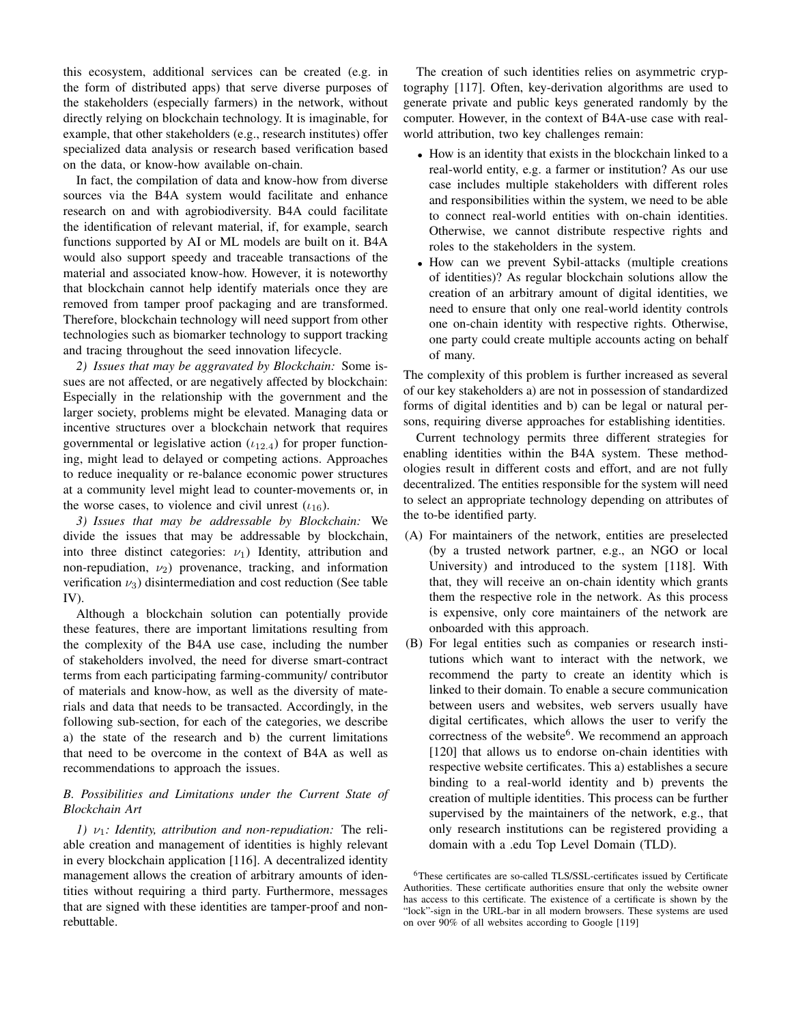this ecosystem, additional services can be created (e.g. in the form of distributed apps) that serve diverse purposes of the stakeholders (especially farmers) in the network, without directly relying on blockchain technology. It is imaginable, for example, that other stakeholders (e.g., research institutes) offer specialized data analysis or research based verification based on the data, or know-how available on-chain.

In fact, the compilation of data and know-how from diverse sources via the B4A system would facilitate and enhance research on and with agrobiodiversity. B4A could facilitate the identification of relevant material, if, for example, search functions supported by AI or ML models are built on it. B4A would also support speedy and traceable transactions of the material and associated know-how. However, it is noteworthy that blockchain cannot help identify materials once they are removed from tamper proof packaging and are transformed. Therefore, blockchain technology will need support from other technologies such as biomarker technology to support tracking and tracing throughout the seed innovation lifecycle.

*2) Issues that may be aggravated by Blockchain:* Some issues are not affected, or are negatively affected by blockchain: Especially in the relationship with the government and the larger society, problems might be elevated. Managing data or incentive structures over a blockchain network that requires governmental or legislative action  $(\iota_{12.4})$  for proper functioning, might lead to delayed or competing actions. Approaches to reduce inequality or re-balance economic power structures at a community level might lead to counter-movements or, in the worse cases, to violence and civil unrest  $(\iota_{16})$ .

*3) Issues that may be addressable by Blockchain:* We divide the issues that may be addressable by blockchain, into three distinct categories:  $\nu_1$ ) Identity, attribution and non-repudiation,  $\nu_2$ ) provenance, tracking, and information verification  $\nu_3$ ) disintermediation and cost reduction (See table [IV\)](#page-9-0).

Although a blockchain solution can potentially provide these features, there are important limitations resulting from the complexity of the B4A use case, including the number of stakeholders involved, the need for diverse smart-contract terms from each participating farming-community/ contributor of materials and know-how, as well as the diversity of materials and data that needs to be transacted. Accordingly, in the following sub-section, for each of the categories, we describe a) the state of the research and b) the current limitations that need to be overcome in the context of B4A as well as recommendations to approach the issues.

#### *B. Possibilities and Limitations under the Current State of Blockchain Art*

*1)*  $\nu_1$ *: Identity, attribution and non-repudiation:* The reliable creation and management of identities is highly relevant in every blockchain application [\[116\]](#page-15-19). A decentralized identity management allows the creation of arbitrary amounts of identities without requiring a third party. Furthermore, messages that are signed with these identities are tamper-proof and nonrebuttable.

The creation of such identities relies on asymmetric cryptography [\[117\]](#page-15-20). Often, key-derivation algorithms are used to generate private and public keys generated randomly by the computer. However, in the context of B4A-use case with realworld attribution, two key challenges remain:

- How is an identity that exists in the blockchain linked to a real-world entity, e.g. a farmer or institution? As our use case includes multiple stakeholders with different roles and responsibilities within the system, we need to be able to connect real-world entities with on-chain identities. Otherwise, we cannot distribute respective rights and roles to the stakeholders in the system.
- How can we prevent Sybil-attacks (multiple creations of identities)? As regular blockchain solutions allow the creation of an arbitrary amount of digital identities, we need to ensure that only one real-world identity controls one on-chain identity with respective rights. Otherwise, one party could create multiple accounts acting on behalf of many.

The complexity of this problem is further increased as several of our key stakeholders a) are not in possession of standardized forms of digital identities and b) can be legal or natural persons, requiring diverse approaches for establishing identities.

Current technology permits three different strategies for enabling identities within the B4A system. These methodologies result in different costs and effort, and are not fully decentralized. The entities responsible for the system will need to select an appropriate technology depending on attributes of the to-be identified party.

- (A) For maintainers of the network, entities are preselected (by a trusted network partner, e.g., an NGO or local University) and introduced to the system [\[118\]](#page-15-21). With that, they will receive an on-chain identity which grants them the respective role in the network. As this process is expensive, only core maintainers of the network are onboarded with this approach.
- (B) For legal entities such as companies or research institutions which want to interact with the network, we recommend the party to create an identity which is linked to their domain. To enable a secure communication between users and websites, web servers usually have digital certificates, which allows the user to verify the correctness of the website<sup>[6](#page-8-0)</sup>. We recommend an approach [\[120\]](#page-15-22) that allows us to endorse on-chain identities with respective website certificates. This a) establishes a secure binding to a real-world identity and b) prevents the creation of multiple identities. This process can be further supervised by the maintainers of the network, e.g., that only research institutions can be registered providing a domain with a .edu Top Level Domain (TLD).

<span id="page-8-0"></span><sup>6</sup>These certificates are so-called TLS/SSL-certificates issued by Certificate Authorities. These certificate authorities ensure that only the website owner has access to this certificate. The existence of a certificate is shown by the "lock"-sign in the URL-bar in all modern browsers. These systems are used on over 90% of all websites according to Google [\[119\]](#page-15-23)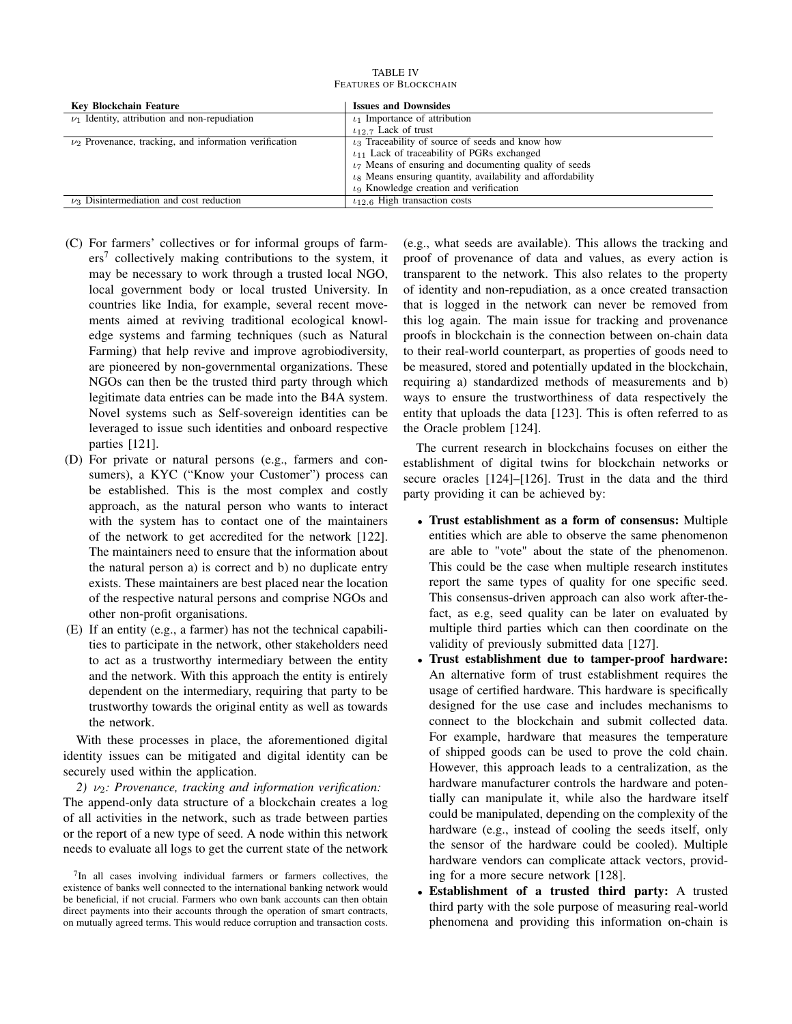| <b>TABLE IV</b>               |
|-------------------------------|
| <b>FEATURES OF BLOCKCHAIN</b> |

<span id="page-9-0"></span>

| Key Blockchain Feature                                     | <b>Issues and Downsides</b>                                             |
|------------------------------------------------------------|-------------------------------------------------------------------------|
| $\nu_1$ Identity, attribution and non-repudiation          | $\iota_1$ Importance of attribution                                     |
|                                                            | $t_{12}$ 7 Lack of trust                                                |
| $\nu_2$ Provenance, tracking, and information verification | $\iota_3$ Traceability of source of seeds and know how                  |
|                                                            | $t_{11}$ Lack of traceability of PGRs exchanged                         |
|                                                            | $\iota$ <sub>7</sub> Means of ensuring and documenting quality of seeds |
|                                                            | $\iota_8$ Means ensuring quantity, availability and affordability       |
|                                                            | $\iota_9$ Knowledge creation and verification                           |
| $\nu_3$ Disintermediation and cost reduction               | $t_{12.6}$ High transaction costs                                       |

- (C) For farmers' collectives or for informal groups of farm-ers<sup>[7](#page-9-1)</sup> collectively making contributions to the system, it may be necessary to work through a trusted local NGO, local government body or local trusted University. In countries like India, for example, several recent movements aimed at reviving traditional ecological knowledge systems and farming techniques (such as Natural Farming) that help revive and improve agrobiodiversity, are pioneered by non-governmental organizations. These NGOs can then be the trusted third party through which legitimate data entries can be made into the B4A system. Novel systems such as Self-sovereign identities can be leveraged to issue such identities and onboard respective parties [\[121\]](#page-15-24).
- (D) For private or natural persons (e.g., farmers and consumers), a KYC ("Know your Customer") process can be established. This is the most complex and costly approach, as the natural person who wants to interact with the system has to contact one of the maintainers of the network to get accredited for the network [\[122\]](#page-15-25). The maintainers need to ensure that the information about the natural person a) is correct and b) no duplicate entry exists. These maintainers are best placed near the location of the respective natural persons and comprise NGOs and other non-profit organisations.
- (E) If an entity (e.g., a farmer) has not the technical capabilities to participate in the network, other stakeholders need to act as a trustworthy intermediary between the entity and the network. With this approach the entity is entirely dependent on the intermediary, requiring that party to be trustworthy towards the original entity as well as towards the network.

With these processes in place, the aforementioned digital identity issues can be mitigated and digital identity can be securely used within the application.

*2)* ν2*: Provenance, tracking and information verification:* The append-only data structure of a blockchain creates a log of all activities in the network, such as trade between parties or the report of a new type of seed. A node within this network needs to evaluate all logs to get the current state of the network

<span id="page-9-1"></span><sup>7</sup>In all cases involving individual farmers or farmers collectives, the existence of banks well connected to the international banking network would be beneficial, if not crucial. Farmers who own bank accounts can then obtain direct payments into their accounts through the operation of smart contracts, on mutually agreed terms. This would reduce corruption and transaction costs.

(e.g., what seeds are available). This allows the tracking and proof of provenance of data and values, as every action is transparent to the network. This also relates to the property of identity and non-repudiation, as a once created transaction that is logged in the network can never be removed from this log again. The main issue for tracking and provenance proofs in blockchain is the connection between on-chain data to their real-world counterpart, as properties of goods need to be measured, stored and potentially updated in the blockchain, requiring a) standardized methods of measurements and b) ways to ensure the trustworthiness of data respectively the entity that uploads the data [\[123\]](#page-15-26). This is often referred to as the Oracle problem [\[124\]](#page-15-27).

The current research in blockchains focuses on either the establishment of digital twins for blockchain networks or secure oracles [\[124\]](#page-15-27)–[\[126\]](#page-15-28). Trust in the data and the third party providing it can be achieved by:

- Trust establishment as a form of consensus: Multiple entities which are able to observe the same phenomenon are able to "vote" about the state of the phenomenon. This could be the case when multiple research institutes report the same types of quality for one specific seed. This consensus-driven approach can also work after-thefact, as e.g, seed quality can be later on evaluated by multiple third parties which can then coordinate on the validity of previously submitted data [\[127\]](#page-15-29).
- Trust establishment due to tamper-proof hardware: An alternative form of trust establishment requires the usage of certified hardware. This hardware is specifically designed for the use case and includes mechanisms to connect to the blockchain and submit collected data. For example, hardware that measures the temperature of shipped goods can be used to prove the cold chain. However, this approach leads to a centralization, as the hardware manufacturer controls the hardware and potentially can manipulate it, while also the hardware itself could be manipulated, depending on the complexity of the hardware (e.g., instead of cooling the seeds itself, only the sensor of the hardware could be cooled). Multiple hardware vendors can complicate attack vectors, providing for a more secure network [\[128\]](#page-15-30).
- Establishment of a trusted third party: A trusted third party with the sole purpose of measuring real-world phenomena and providing this information on-chain is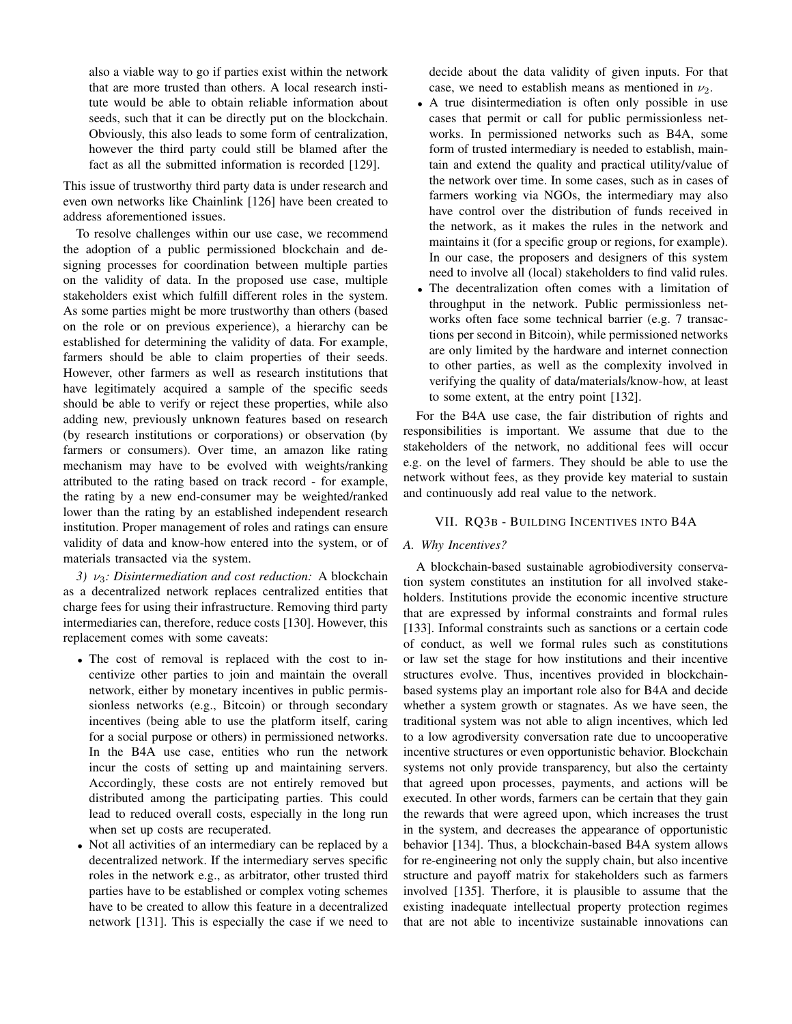also a viable way to go if parties exist within the network that are more trusted than others. A local research institute would be able to obtain reliable information about seeds, such that it can be directly put on the blockchain. Obviously, this also leads to some form of centralization, however the third party could still be blamed after the fact as all the submitted information is recorded [\[129\]](#page-15-31).

This issue of trustworthy third party data is under research and even own networks like Chainlink [\[126\]](#page-15-28) have been created to address aforementioned issues.

To resolve challenges within our use case, we recommend the adoption of a public permissioned blockchain and designing processes for coordination between multiple parties on the validity of data. In the proposed use case, multiple stakeholders exist which fulfill different roles in the system. As some parties might be more trustworthy than others (based on the role or on previous experience), a hierarchy can be established for determining the validity of data. For example, farmers should be able to claim properties of their seeds. However, other farmers as well as research institutions that have legitimately acquired a sample of the specific seeds should be able to verify or reject these properties, while also adding new, previously unknown features based on research (by research institutions or corporations) or observation (by farmers or consumers). Over time, an amazon like rating mechanism may have to be evolved with weights/ranking attributed to the rating based on track record - for example, the rating by a new end-consumer may be weighted/ranked lower than the rating by an established independent research institution. Proper management of roles and ratings can ensure validity of data and know-how entered into the system, or of materials transacted via the system.

*3)* ν3*: Disintermediation and cost reduction:* A blockchain as a decentralized network replaces centralized entities that charge fees for using their infrastructure. Removing third party intermediaries can, therefore, reduce costs [\[130\]](#page-15-32). However, this replacement comes with some caveats:

- The cost of removal is replaced with the cost to incentivize other parties to join and maintain the overall network, either by monetary incentives in public permissionless networks (e.g., Bitcoin) or through secondary incentives (being able to use the platform itself, caring for a social purpose or others) in permissioned networks. In the B4A use case, entities who run the network incur the costs of setting up and maintaining servers. Accordingly, these costs are not entirely removed but distributed among the participating parties. This could lead to reduced overall costs, especially in the long run when set up costs are recuperated.
- Not all activities of an intermediary can be replaced by a decentralized network. If the intermediary serves specific roles in the network e.g., as arbitrator, other trusted third parties have to be established or complex voting schemes have to be created to allow this feature in a decentralized network [\[131\]](#page-15-33). This is especially the case if we need to

decide about the data validity of given inputs. For that case, we need to establish means as mentioned in  $\nu_2$ .

- A true disintermediation is often only possible in use cases that permit or call for public permissionless networks. In permissioned networks such as B4A, some form of trusted intermediary is needed to establish, maintain and extend the quality and practical utility/value of the network over time. In some cases, such as in cases of farmers working via NGOs, the intermediary may also have control over the distribution of funds received in the network, as it makes the rules in the network and maintains it (for a specific group or regions, for example). In our case, the proposers and designers of this system need to involve all (local) stakeholders to find valid rules.
- The decentralization often comes with a limitation of throughput in the network. Public permissionless networks often face some technical barrier (e.g. 7 transactions per second in Bitcoin), while permissioned networks are only limited by the hardware and internet connection to other parties, as well as the complexity involved in verifying the quality of data/materials/know-how, at least to some extent, at the entry point [\[132\]](#page-15-34).

For the B4A use case, the fair distribution of rights and responsibilities is important. We assume that due to the stakeholders of the network, no additional fees will occur e.g. on the level of farmers. They should be able to use the network without fees, as they provide key material to sustain and continuously add real value to the network.

# VII. RQ3B - BUILDING INCENTIVES INTO B4A

#### *A. Why Incentives?*

A blockchain-based sustainable agrobiodiversity conservation system constitutes an institution for all involved stakeholders. Institutions provide the economic incentive structure that are expressed by informal constraints and formal rules [\[133\]](#page-15-35). Informal constraints such as sanctions or a certain code of conduct, as well we formal rules such as constitutions or law set the stage for how institutions and their incentive structures evolve. Thus, incentives provided in blockchainbased systems play an important role also for B4A and decide whether a system growth or stagnates. As we have seen, the traditional system was not able to align incentives, which led to a low agrodiversity conversation rate due to uncooperative incentive structures or even opportunistic behavior. Blockchain systems not only provide transparency, but also the certainty that agreed upon processes, payments, and actions will be executed. In other words, farmers can be certain that they gain the rewards that were agreed upon, which increases the trust in the system, and decreases the appearance of opportunistic behavior [\[134\]](#page-15-36). Thus, a blockchain-based B4A system allows for re-engineering not only the supply chain, but also incentive structure and payoff matrix for stakeholders such as farmers involved [\[135\]](#page-15-37). Therfore, it is plausible to assume that the existing inadequate intellectual property protection regimes that are not able to incentivize sustainable innovations can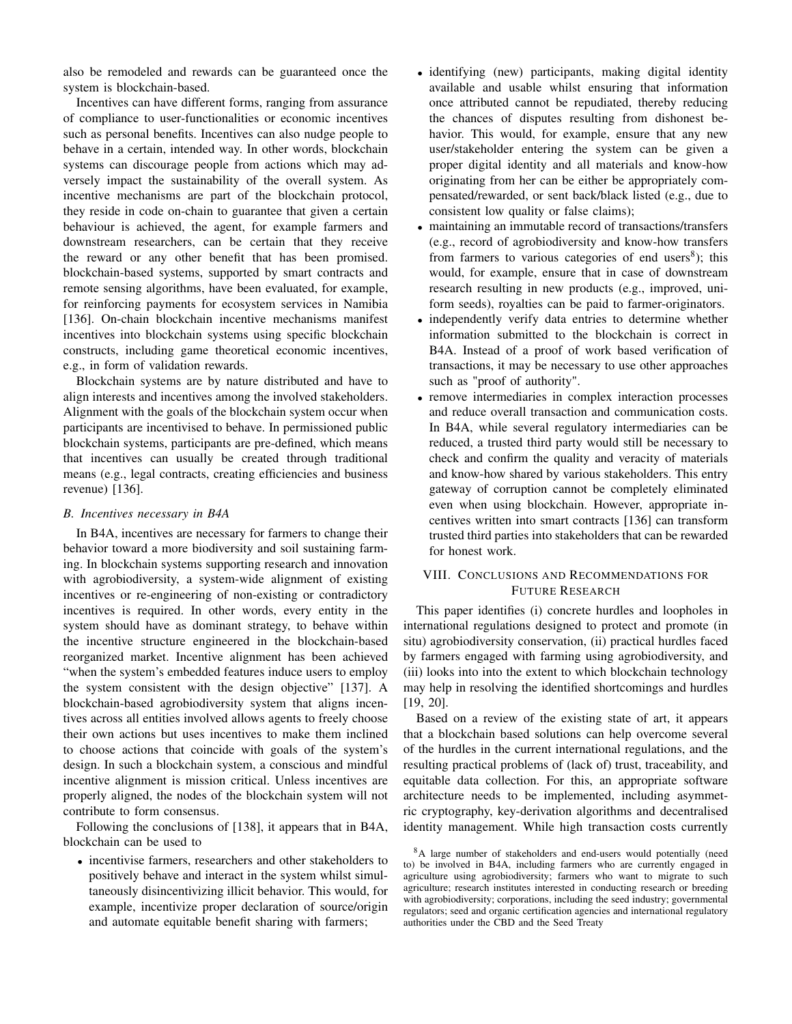also be remodeled and rewards can be guaranteed once the system is blockchain-based.

Incentives can have different forms, ranging from assurance of compliance to user-functionalities or economic incentives such as personal benefits. Incentives can also nudge people to behave in a certain, intended way. In other words, blockchain systems can discourage people from actions which may adversely impact the sustainability of the overall system. As incentive mechanisms are part of the blockchain protocol, they reside in code on-chain to guarantee that given a certain behaviour is achieved, the agent, for example farmers and downstream researchers, can be certain that they receive the reward or any other benefit that has been promised. blockchain-based systems, supported by smart contracts and remote sensing algorithms, have been evaluated, for example, for reinforcing payments for ecosystem services in Namibia [\[136\]](#page-15-38). On-chain blockchain incentive mechanisms manifest incentives into blockchain systems using specific blockchain constructs, including game theoretical economic incentives, e.g., in form of validation rewards.

Blockchain systems are by nature distributed and have to align interests and incentives among the involved stakeholders. Alignment with the goals of the blockchain system occur when participants are incentivised to behave. In permissioned public blockchain systems, participants are pre-defined, which means that incentives can usually be created through traditional means (e.g., legal contracts, creating efficiencies and business revenue) [\[136\]](#page-15-38).

#### *B. Incentives necessary in B4A*

In B4A, incentives are necessary for farmers to change their behavior toward a more biodiversity and soil sustaining farming. In blockchain systems supporting research and innovation with agrobiodiversity, a system-wide alignment of existing incentives or re-engineering of non-existing or contradictory incentives is required. In other words, every entity in the system should have as dominant strategy, to behave within the incentive structure engineered in the blockchain-based reorganized market. Incentive alignment has been achieved "when the system's embedded features induce users to employ the system consistent with the design objective" [\[137\]](#page-15-39). A blockchain-based agrobiodiversity system that aligns incentives across all entities involved allows agents to freely choose their own actions but uses incentives to make them inclined to choose actions that coincide with goals of the system's design. In such a blockchain system, a conscious and mindful incentive alignment is mission critical. Unless incentives are properly aligned, the nodes of the blockchain system will not contribute to form consensus.

Following the conclusions of [\[138\]](#page-15-40), it appears that in B4A, blockchain can be used to

• incentivise farmers, researchers and other stakeholders to positively behave and interact in the system whilst simultaneously disincentivizing illicit behavior. This would, for example, incentivize proper declaration of source/origin and automate equitable benefit sharing with farmers;

- identifying (new) participants, making digital identity available and usable whilst ensuring that information once attributed cannot be repudiated, thereby reducing the chances of disputes resulting from dishonest behavior. This would, for example, ensure that any new user/stakeholder entering the system can be given a proper digital identity and all materials and know-how originating from her can be either be appropriately compensated/rewarded, or sent back/black listed (e.g., due to consistent low quality or false claims);
- maintaining an immutable record of transactions/transfers (e.g., record of agrobiodiversity and know-how transfers from farmers to various categories of end users<sup>[8](#page-11-0)</sup>); this would, for example, ensure that in case of downstream research resulting in new products (e.g., improved, uniform seeds), royalties can be paid to farmer-originators.
- independently verify data entries to determine whether information submitted to the blockchain is correct in B4A. Instead of a proof of work based verification of transactions, it may be necessary to use other approaches such as "proof of authority".
- remove intermediaries in complex interaction processes and reduce overall transaction and communication costs. In B4A, while several regulatory intermediaries can be reduced, a trusted third party would still be necessary to check and confirm the quality and veracity of materials and know-how shared by various stakeholders. This entry gateway of corruption cannot be completely eliminated even when using blockchain. However, appropriate incentives written into smart contracts [\[136\]](#page-15-38) can transform trusted third parties into stakeholders that can be rewarded for honest work.

# VIII. CONCLUSIONS AND RECOMMENDATIONS FOR FUTURE RESEARCH

This paper identifies (i) concrete hurdles and loopholes in international regulations designed to protect and promote (in situ) agrobiodiversity conservation, (ii) practical hurdles faced by farmers engaged with farming using agrobiodiversity, and (iii) looks into into the extent to which blockchain technology may help in resolving the identified shortcomings and hurdles [\[19,](#page-13-8) [20\]](#page-13-13).

Based on a review of the existing state of art, it appears that a blockchain based solutions can help overcome several of the hurdles in the current international regulations, and the resulting practical problems of (lack of) trust, traceability, and equitable data collection. For this, an appropriate software architecture needs to be implemented, including asymmetric cryptography, key-derivation algorithms and decentralised identity management. While high transaction costs currently

<span id="page-11-0"></span><sup>&</sup>lt;sup>8</sup>A large number of stakeholders and end-users would potentially (need to) be involved in B4A, including farmers who are currently engaged in agriculture using agrobiodiversity; farmers who want to migrate to such agriculture; research institutes interested in conducting research or breeding with agrobiodiversity; corporations, including the seed industry; governmental regulators; seed and organic certification agencies and international regulatory authorities under the CBD and the Seed Treaty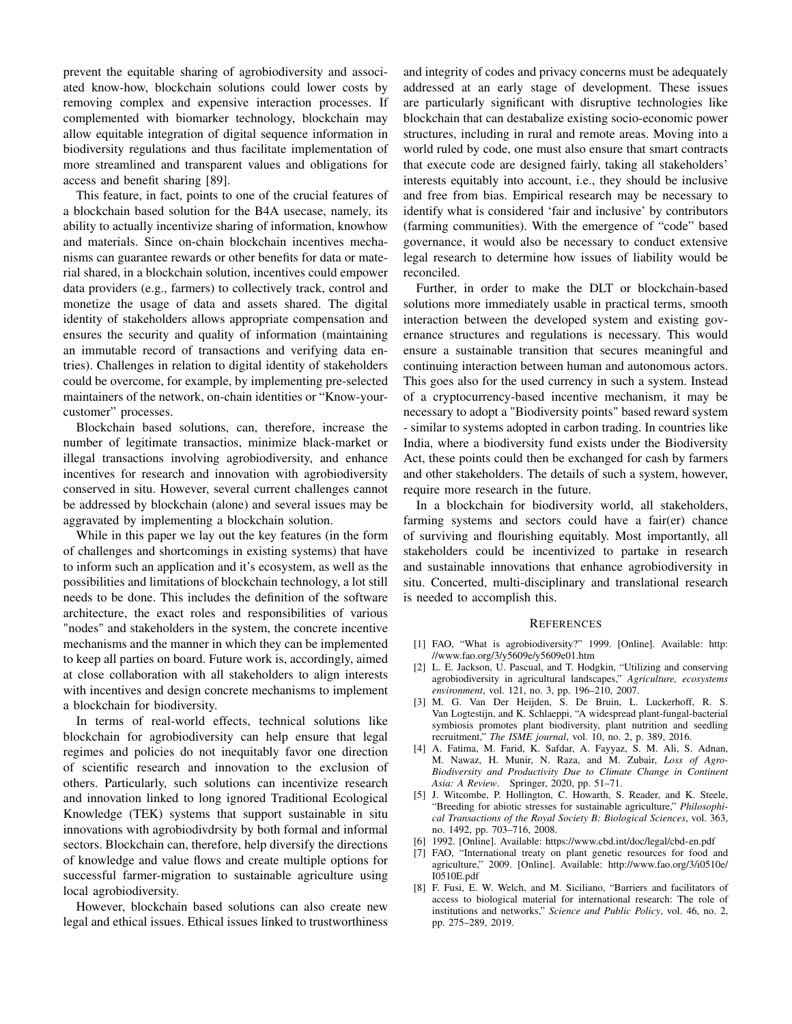prevent the equitable sharing of agrobiodiversity and associated know-how, blockchain solutions could lower costs by removing complex and expensive interaction processes. If complemented with biomarker technology, blockchain may allow equitable integration of digital sequence information in biodiversity regulations and thus facilitate implementation of more streamlined and transparent values and obligations for access and benefit sharing [\[89\]](#page-14-30).

This feature, in fact, points to one of the crucial features of a blockchain based solution for the B4A usecase, namely, its ability to actually incentivize sharing of information, knowhow and materials. Since on-chain blockchain incentives mechanisms can guarantee rewards or other benefits for data or material shared, in a blockchain solution, incentives could empower data providers (e.g., farmers) to collectively track, control and monetize the usage of data and assets shared. The digital identity of stakeholders allows appropriate compensation and ensures the security and quality of information (maintaining an immutable record of transactions and verifying data entries). Challenges in relation to digital identity of stakeholders could be overcome, for example, by implementing pre-selected maintainers of the network, on-chain identities or "Know-yourcustomer" processes.

Blockchain based solutions, can, therefore, increase the number of legitimate transactios, minimize black-market or illegal transactions involving agrobiodiversity, and enhance incentives for research and innovation with agrobiodiversity conserved in situ. However, several current challenges cannot be addressed by blockchain (alone) and several issues may be aggravated by implementing a blockchain solution.

While in this paper we lay out the key features (in the form of challenges and shortcomings in existing systems) that have to inform such an application and it's ecosystem, as well as the possibilities and limitations of blockchain technology, a lot still needs to be done. This includes the definition of the software architecture, the exact roles and responsibilities of various "nodes" and stakeholders in the system, the concrete incentive mechanisms and the manner in which they can be implemented to keep all parties on board. Future work is, accordingly, aimed at close collaboration with all stakeholders to align interests with incentives and design concrete mechanisms to implement a blockchain for biodiversity.

In terms of real-world effects, technical solutions like blockchain for agrobiodiversity can help ensure that legal regimes and policies do not inequitably favor one direction of scientific research and innovation to the exclusion of others. Particularly, such solutions can incentivize research and innovation linked to long ignored Traditional Ecological Knowledge (TEK) systems that support sustainable in situ innovations with agrobiodivdrsity by both formal and informal sectors. Blockchain can, therefore, help diversify the directions of knowledge and value flows and create multiple options for successful farmer-migration to sustainable agriculture using local agrobiodiversity.

However, blockchain based solutions can also create new legal and ethical issues. Ethical issues linked to trustworthiness and integrity of codes and privacy concerns must be adequately addressed at an early stage of development. These issues are particularly significant with disruptive technologies like blockchain that can destabalize existing socio-economic power structures, including in rural and remote areas. Moving into a world ruled by code, one must also ensure that smart contracts that execute code are designed fairly, taking all stakeholders' interests equitably into account, i.e., they should be inclusive and free from bias. Empirical research may be necessary to identify what is considered 'fair and inclusive' by contributors (farming communities). With the emergence of "code" based governance, it would also be necessary to conduct extensive legal research to determine how issues of liability would be reconciled.

Further, in order to make the DLT or blockchain-based solutions more immediately usable in practical terms, smooth interaction between the developed system and existing governance structures and regulations is necessary. This would ensure a sustainable transition that secures meaningful and continuing interaction between human and autonomous actors. This goes also for the used currency in such a system. Instead of a cryptocurrency-based incentive mechanism, it may be necessary to adopt a "Biodiversity points" based reward system - similar to systems adopted in carbon trading. In countries like India, where a biodiversity fund exists under the Biodiversity Act, these points could then be exchanged for cash by farmers and other stakeholders. The details of such a system, however, require more research in the future.

In a blockchain for biodiversity world, all stakeholders, farming systems and sectors could have a fair(er) chance of surviving and flourishing equitably. Most importantly, all stakeholders could be incentivized to partake in research and sustainable innovations that enhance agrobiodiversity in situ. Concerted, multi-disciplinary and translational research is needed to accomplish this.

#### **REFERENCES**

- <span id="page-12-0"></span>[1] FAO, "What is agrobiodiversity?" 1999. [Online]. Available: [http:](http://www.fao.org/3/y5609e/y5609e01.htm) [//www.fao.org/3/y5609e/y5609e01.htm](http://www.fao.org/3/y5609e/y5609e01.htm)
- <span id="page-12-1"></span>[2] L. E. Jackson, U. Pascual, and T. Hodgkin, "Utilizing and conserving agrobiodiversity in agricultural landscapes," *Agriculture, ecosystems environment*, vol. 121, no. 3, pp. 196–210, 2007.
- <span id="page-12-2"></span>[3] M. G. Van Der Heijden, S. De Bruin, L. Luckerhoff, R. S. Van Logtestijn, and K. Schlaeppi, "A widespread plant-fungal-bacterial symbiosis promotes plant biodiversity, plant nutrition and seedling recruitment," *The ISME journal*, vol. 10, no. 2, p. 389, 2016.
- [4] A. Fatima, M. Farid, K. Safdar, A. Fayyaz, S. M. Ali, S. Adnan, M. Nawaz, H. Munir, N. Raza, and M. Zubair, *Loss of Agro-Biodiversity and Productivity Due to Climate Change in Continent Asia: A Review*. Springer, 2020, pp. 51–71.
- <span id="page-12-3"></span>[5] J. Witcombe, P. Hollington, C. Howarth, S. Reader, and K. Steele, "Breeding for abiotic stresses for sustainable agriculture," *Philosophical Transactions of the Royal Society B: Biological Sciences*, vol. 363, no. 1492, pp. 703–716, 2008.
- <span id="page-12-4"></span>[6] 1992. [Online]. Available:<https://www.cbd.int/doc/legal/cbd-en.pdf>
- <span id="page-12-5"></span>[7] FAO, "International treaty on plant genetic resources for food and agriculture," 2009. [Online]. Available: [http://www.fao.org/3/i0510e/](http://www.fao.org/3/i0510e/I0510E.pdf) [I0510E.pdf](http://www.fao.org/3/i0510e/I0510E.pdf)
- <span id="page-12-6"></span>[8] F. Fusi, E. W. Welch, and M. Siciliano, "Barriers and facilitators of access to biological material for international research: The role of institutions and networks," *Science and Public Policy*, vol. 46, no. 2, pp. 275–289, 2019.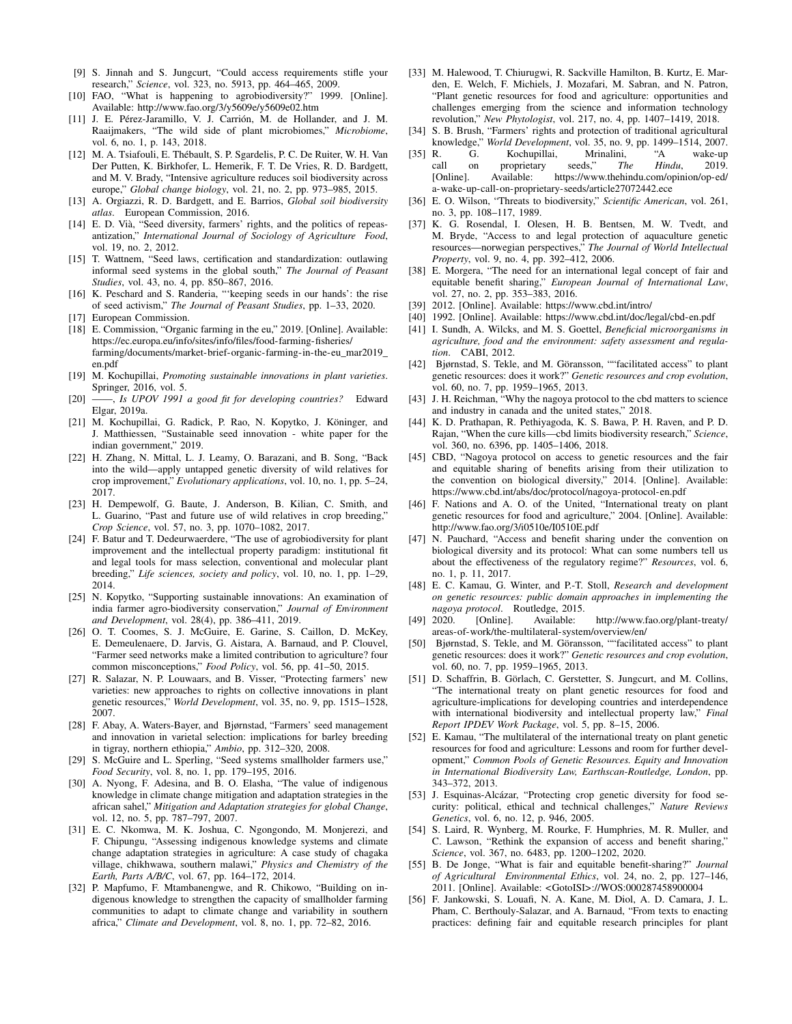- <span id="page-13-0"></span>[9] S. Jinnah and S. Jungcurt, "Could access requirements stifle your research," *Science*, vol. 323, no. 5913, pp. 464–465, 2009.
- <span id="page-13-1"></span>[10] FAO, "What is happening to agrobiodiversity?" 1999. [Online]. Available:<http://www.fao.org/3/y5609e/y5609e02.htm>
- <span id="page-13-2"></span>[11] J. E. Pérez-Jaramillo, V. J. Carrión, M. de Hollander, and J. M. Raaijmakers, "The wild side of plant microbiomes," *Microbiome*, vol. 6, no. 1, p. 143, 2018.
- [12] M. A. Tsiafouli, E. Thébault, S. P. Sgardelis, P. C. De Ruiter, W. H. Van Der Putten, K. Birkhofer, L. Hemerik, F. T. De Vries, R. D. Bardgett, and M. V. Brady, "Intensive agriculture reduces soil biodiversity across europe," *Global change biology*, vol. 21, no. 2, pp. 973–985, 2015.
- <span id="page-13-3"></span>[13] A. Orgiazzi, R. D. Bardgett, and E. Barrios, *Global soil biodiversity atlas*. European Commission, 2016.
- <span id="page-13-4"></span>[14] E. D. Vià, "Seed diversity, farmers' rights, and the politics of repeasantization," *International Journal of Sociology of Agriculture Food*, vol. 19, no. 2, 2012.
- [15] T. Wattnem, "Seed laws, certification and standardization: outlawing informal seed systems in the global south," *The Journal of Peasant Studies*, vol. 43, no. 4, pp. 850–867, 2016.
- <span id="page-13-5"></span>[16] K. Peschard and S. Randeria, "'keeping seeds in our hands': the rise of seed activism," *The Journal of Peasant Studies*, pp. 1–33, 2020.
- <span id="page-13-6"></span>[17] European Commission.
- <span id="page-13-7"></span>[18] E. Commission, "Organic farming in the eu," 2019. [Online]. Available: [https://ec.europa.eu/info/sites/info/files/food-farming-fisheries/](https://ec.europa.eu/info/sites/info/files/food-farming-fisheries/farming/documents/market-brief-organic-farming-in-the-eu_mar2019_en.pdf) [farming/documents/market-brief-organic-farming-in-the-eu\\_mar2019\\_](https://ec.europa.eu/info/sites/info/files/food-farming-fisheries/farming/documents/market-brief-organic-farming-in-the-eu_mar2019_en.pdf) [en.pdf](https://ec.europa.eu/info/sites/info/files/food-farming-fisheries/farming/documents/market-brief-organic-farming-in-the-eu_mar2019_en.pdf)
- <span id="page-13-8"></span>[19] M. Kochupillai, *Promoting sustainable innovations in plant varieties*. Springer, 2016, vol. 5.
- <span id="page-13-13"></span>[20] ——, *Is UPOV 1991 a good fit for developing countries?* Edward Elgar, 2019a.
- <span id="page-13-9"></span>[21] M. Kochupillai, G. Radick, P. Rao, N. Kopytko, J. Köninger, and J. Matthiessen, "Sustainable seed innovation - white paper for the indian government," 2019.
- <span id="page-13-10"></span>[22] H. Zhang, N. Mittal, L. J. Leamy, O. Barazani, and B. Song, "Back" into the wild—apply untapped genetic diversity of wild relatives for crop improvement," *Evolutionary applications*, vol. 10, no. 1, pp. 5–24, 2017.
- <span id="page-13-11"></span>[23] H. Dempewolf, G. Baute, J. Anderson, B. Kilian, C. Smith, and L. Guarino, "Past and future use of wild relatives in crop breeding," *Crop Science*, vol. 57, no. 3, pp. 1070–1082, 2017.
- <span id="page-13-12"></span>[24] F. Batur and T. Dedeurwaerdere, "The use of agrobiodiversity for plant improvement and the intellectual property paradigm: institutional fit and legal tools for mass selection, conventional and molecular plant breeding," *Life sciences, society and policy*, vol. 10, no. 1, pp. 1–29, 2014.
- <span id="page-13-14"></span>[25] N. Kopytko, "Supporting sustainable innovations: An examination of india farmer agro-biodiversity conservation," *Journal of Environment and Development*, vol. 28(4), pp. 386–411, 2019.
- [26] O. T. Coomes, S. J. McGuire, E. Garine, S. Caillon, D. McKey, E. Demeulenaere, D. Jarvis, G. Aistara, A. Barnaud, and P. Clouvel, "Farmer seed networks make a limited contribution to agriculture? four common misconceptions," *Food Policy*, vol. 56, pp. 41–50, 2015.
- [27] R. Salazar, N. P. Louwaars, and B. Visser, "Protecting farmers' new varieties: new approaches to rights on collective innovations in plant genetic resources," *World Development*, vol. 35, no. 9, pp. 1515–1528, 2007.
- <span id="page-13-15"></span>[28] F. Abay, A. Waters-Bayer, and Bjørnstad, "Farmers' seed management and innovation in varietal selection: implications for barley breeding in tigray, northern ethiopia," *Ambio*, pp. 312–320, 2008.
- <span id="page-13-16"></span>[29] S. McGuire and L. Sperling, "Seed systems smallholder farmers use," *Food Security*, vol. 8, no. 1, pp. 179–195, 2016.
- <span id="page-13-17"></span>[30] A. Nyong, F. Adesina, and B. O. Elasha, "The value of indigenous knowledge in climate change mitigation and adaptation strategies in the african sahel," *Mitigation and Adaptation strategies for global Change*, vol. 12, no. 5, pp. 787–797, 2007.
- [31] E. C. Nkomwa, M. K. Joshua, C. Ngongondo, M. Monjerezi, and F. Chipungu, "Assessing indigenous knowledge systems and climate change adaptation strategies in agriculture: A case study of chagaka village, chikhwawa, southern malawi," *Physics and Chemistry of the Earth, Parts A/B/C*, vol. 67, pp. 164–172, 2014.
- <span id="page-13-18"></span>[32] P. Mapfumo, F. Mtambanengwe, and R. Chikowo, "Building on indigenous knowledge to strengthen the capacity of smallholder farming communities to adapt to climate change and variability in southern africa," *Climate and Development*, vol. 8, no. 1, pp. 72–82, 2016.
- <span id="page-13-19"></span>[33] M. Halewood, T. Chiurugwi, R. Sackville Hamilton, B. Kurtz, E. Marden, E. Welch, F. Michiels, J. Mozafari, M. Sabran, and N. Patron, "Plant genetic resources for food and agriculture: opportunities and challenges emerging from the science and information technology revolution," *New Phytologist*, vol. 217, no. 4, pp. 1407–1419, 2018.
- <span id="page-13-20"></span>[34] S. B. Brush, "Farmers' rights and protection of traditional agricultural knowledge," *World Development*, vol. 35, no. 9, pp. 1499–1514, 2007.
- <span id="page-13-21"></span>[35] R. G. Kochupillai, Mrinalini, "A wake-up call on proprietary seeds," *The Hindu*, 2019.<br>[Online]. Available: https://www.thehindu.com/opinion/op-ed/ https://www.thehindu.com/opinion/op-ed/ [a-wake-up-call-on-proprietary-seeds/article27072442.ece](https://www.thehindu.com/opinion/op-ed/a-wake-up-call-on-proprietary-seeds/article27072442.ece)
- <span id="page-13-22"></span>[36] E. O. Wilson, "Threats to biodiversity," *Scientific American*, vol. 261, no. 3, pp. 108–117, 1989.
- <span id="page-13-23"></span>[37] K. G. Rosendal, I. Olesen, H. B. Bentsen, M. W. Tvedt, and M. Bryde, "Access to and legal protection of aquaculture genetic resources—norwegian perspectives," *The Journal of World Intellectual Property*, vol. 9, no. 4, pp. 392–412, 2006.
- <span id="page-13-24"></span>[38] E. Morgera, "The need for an international legal concept of fair and equitable benefit sharing," *European Journal of International Law*, vol. 27, no. 2, pp. 353–383, 2016.
- <span id="page-13-25"></span>[39] 2012. [Online]. Available:<https://www.cbd.int/intro/>
- <span id="page-13-26"></span>[40] 1992. [Online]. Available:<https://www.cbd.int/doc/legal/cbd-en.pdf>
- [41] I. Sundh, A. Wilcks, and M. S. Goettel, *Beneficial microorganisms in agriculture, food and the environment: safety assessment and regulation*. CABI, 2012.
- <span id="page-13-27"></span>[42] Bjørnstad, S. Tekle, and M. Göransson, ""facilitated access" to plant genetic resources: does it work?" *Genetic resources and crop evolution*, vol. 60, no. 7, pp. 1959–1965, 2013.
- <span id="page-13-28"></span>[43] J. H. Reichman, "Why the nagoya protocol to the cbd matters to science and industry in canada and the united states," 2018.
- <span id="page-13-29"></span>[44] K. D. Prathapan, R. Pethiyagoda, K. S. Bawa, P. H. Raven, and P. D. Rajan, "When the cure kills—cbd limits biodiversity research," *Science*, vol. 360, no. 6396, pp. 1405–1406, 2018.
- <span id="page-13-30"></span>[45] CBD, "Nagoya protocol on access to genetic resources and the fair and equitable sharing of benefits arising from their utilization to the convention on biological diversity," 2014. [Online]. Available: <https://www.cbd.int/abs/doc/protocol/nagoya-protocol-en.pdf>
- <span id="page-13-31"></span>[46] F. Nations and A. O. of the United, "International treaty on plant genetic resources for food and agriculture," 2004. [Online]. Available: <http://www.fao.org/3/i0510e/I0510E.pdf>
- <span id="page-13-32"></span>[47] N. Pauchard, "Access and benefit sharing under the convention on biological diversity and its protocol: What can some numbers tell us about the effectiveness of the regulatory regime?" *Resources*, vol. 6, no. 1, p. 11, 2017.
- <span id="page-13-33"></span>[48] E. C. Kamau, G. Winter, and P.-T. Stoll, *Research and development on genetic resources: public domain approaches in implementing the nagoya protocol.* Routledge, 2015.<br>[49] 2020. [Online]. Available:
- <span id="page-13-34"></span>[Online]. Available: [http://www.fao.org/plant-treaty/](http://www.fao.org/plant-treaty/areas-of-work/the-multilateral-system/overview/en/) [areas-of-work/the-multilateral-system/overview/en/](http://www.fao.org/plant-treaty/areas-of-work/the-multilateral-system/overview/en/)
- <span id="page-13-35"></span>[50] Bjørnstad, S. Tekle, and M. Göransson, ""facilitated access" to plant genetic resources: does it work?" *Genetic resources and crop evolution*, vol. 60, no. 7, pp. 1959–1965, 2013.
- <span id="page-13-36"></span>[51] D. Schaffrin, B. Görlach, C. Gerstetter, S. Jungcurt, and M. Collins, "The international treaty on plant genetic resources for food and agriculture-implications for developing countries and interdependence with international biodiversity and intellectual property law," *Final Report IPDEV Work Package*, vol. 5, pp. 8–15, 2006.
- <span id="page-13-37"></span>[52] E. Kamau, "The multilateral of the international treaty on plant genetic resources for food and agriculture: Lessons and room for further development," *Common Pools of Genetic Resources. Equity and Innovation in International Biodiversity Law, Earthscan-Routledge, London*, pp. 343–372, 2013.
- <span id="page-13-38"></span>[53] J. Esquinas-Alcázar, "Protecting crop genetic diversity for food security: political, ethical and technical challenges," *Nature Reviews Genetics*, vol. 6, no. 12, p. 946, 2005.
- <span id="page-13-39"></span>[54] S. Laird, R. Wynberg, M. Rourke, F. Humphries, M. R. Muller, and C. Lawson, "Rethink the expansion of access and benefit sharing," *Science*, vol. 367, no. 6483, pp. 1200–1202, 2020.
- <span id="page-13-40"></span>[55] B. De Jonge, "What is fair and equitable benefit-sharing?" *Journal of Agricultural Environmental Ethics*, vol. 24, no. 2, pp. 127–146, 2011. [Online]. Available: [<GotoISI>://WOS:000287458900004](<Go to ISI>://WOS:000287458900004)
- <span id="page-13-41"></span>[56] F. Jankowski, S. Louafi, N. A. Kane, M. Diol, A. D. Camara, J. L. Pham, C. Berthouly-Salazar, and A. Barnaud, "From texts to enacting practices: defining fair and equitable research principles for plant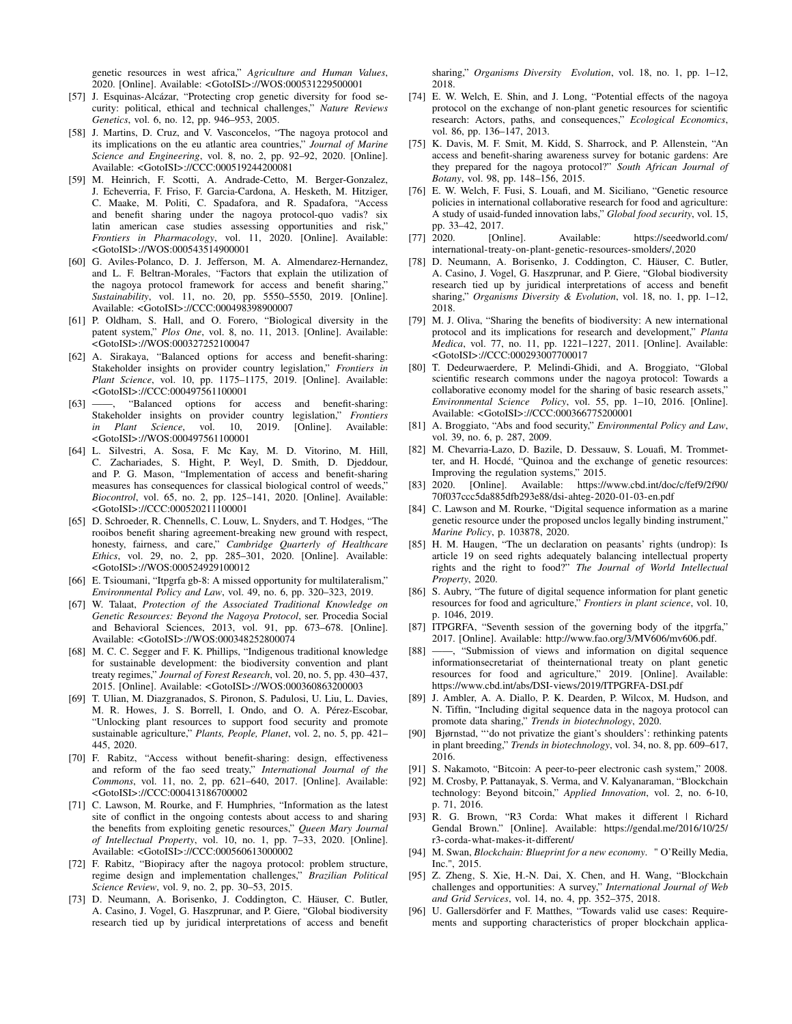genetic resources in west africa," *Agriculture and Human Values*, 2020. [Online]. Available: [<GotoISI>://WOS:000531229500001](<Go to ISI>://WOS:000531229500001)

- <span id="page-14-0"></span>[57] J. Esquinas-Alcázar, "Protecting crop genetic diversity for food security: political, ethical and technical challenges," *Nature Reviews Genetics*, vol. 6, no. 12, pp. 946–953, 2005.
- <span id="page-14-1"></span>[58] J. Martins, D. Cruz, and V. Vasconcelos, "The nagoya protocol and its implications on the eu atlantic area countries," *Journal of Marine Science and Engineering*, vol. 8, no. 2, pp. 92–92, 2020. [Online]. Available: [<GotoISI>://CCC:000519244200081](<Go to ISI>://CCC:000519244200081)
- <span id="page-14-2"></span>[59] M. Heinrich, F. Scotti, A. Andrade-Cetto, M. Berger-Gonzalez, J. Echeverria, F. Friso, F. Garcia-Cardona, A. Hesketh, M. Hitziger, C. Maake, M. Politi, C. Spadafora, and R. Spadafora, "Access and benefit sharing under the nagoya protocol-quo vadis? six latin american case studies assessing opportunities and risk," *Frontiers in Pharmacology*, vol. 11, 2020. [Online]. Available: [<GotoISI>://WOS:000543514900001](<Go to ISI>://WOS:000543514900001)
- <span id="page-14-7"></span>[60] G. Aviles-Polanco, D. J. Jefferson, M. A. Almendarez-Hernandez, and L. F. Beltran-Morales, "Factors that explain the utilization of the nagoya protocol framework for access and benefit sharing," *Sustainability*, vol. 11, no. 20, pp. 5550–5550, 2019. [Online]. Available: [<GotoISI>://CCC:000498398900007](<Go to ISI>://CCC:000498398900007)
- <span id="page-14-4"></span>[61] P. Oldham, S. Hall, and O. Forero, "Biological diversity in the patent system," *Plos One*, vol. 8, no. 11, 2013. [Online]. Available: [<GotoISI>://WOS:000327252100047](<Go to ISI>://WOS:000327252100047)
- <span id="page-14-3"></span>[62] A. Sirakaya, "Balanced options for access and benefit-sharing: Stakeholder insights on provider country legislation," *Frontiers in Plant Science*, vol. 10, pp. 1175–1175, 2019. [Online]. Available: [<GotoISI>://CCC:000497561100001](<Go to ISI>://CCC:000497561100001)
- <span id="page-14-5"></span>[63] ——, "Balanced options for access and benefit-sharing: Stakeholder insights on provider country legislation," *Frontiers in Plant Science*, vol. 10, 2019. [Online]. Available: [<GotoISI>://WOS:000497561100001](<Go to ISI>://WOS:000497561100001)
- <span id="page-14-6"></span>[64] L. Silvestri, A. Sosa, F. Mc Kay, M. D. Vitorino, M. Hill, Zachariades, S. Hight, P. Weyl, D. Smith, D. Djeddour, and P. G. Mason, "Implementation of access and benefit-sharing measures has consequences for classical biological control of weeds," *Biocontrol*, vol. 65, no. 2, pp. 125–141, 2020. [Online]. Available: [<GotoISI>://CCC:000520211100001](<Go to ISI>://CCC:000520211100001)
- <span id="page-14-8"></span>[65] D. Schroeder, R. Chennells, C. Louw, L. Snyders, and T. Hodges, "The rooibos benefit sharing agreement-breaking new ground with respect, honesty, fairness, and care," *Cambridge Quarterly of Healthcare Ethics*, vol. 29, no. 2, pp. 285–301, 2020. [Online]. Available: [<GotoISI>://WOS:000524929100012](<Go to ISI>://WOS:000524929100012)
- <span id="page-14-9"></span>[66] E. Tsioumani, "Itpgrfa gb-8: A missed opportunity for multilateralism," *Environmental Policy and Law*, vol. 49, no. 6, pp. 320–323, 2019.
- <span id="page-14-10"></span>[67] W. Talaat, *Protection of the Associated Traditional Knowledge on Genetic Resources: Beyond the Nagoya Protocol*, ser. Procedia Social and Behavioral Sciences, 2013, vol. 91, pp. 673–678. [Online]. Available: [<GotoISI>://WOS:000348252800074](<Go to ISI>://WOS:000348252800074)
- <span id="page-14-11"></span>[68] M. C. C. Segger and F. K. Phillips, "Indigenous traditional knowledge for sustainable development: the biodiversity convention and plant treaty regimes," *Journal of Forest Research*, vol. 20, no. 5, pp. 430–437, 2015. [Online]. Available: [<GotoISI>://WOS:000360863200003](<Go to ISI>://WOS:000360863200003)
- <span id="page-14-12"></span>[69] T. Ulian, M. Diazgranados, S. Pironon, S. Padulosi, U. Liu, L. Davies, M. R. Howes, J. S. Borrell, I. Ondo, and O. A. Pérez-Escobar, "Unlocking plant resources to support food security and promote sustainable agriculture," *Plants, People, Planet*, vol. 2, no. 5, pp. 421– 445, 2020.
- <span id="page-14-13"></span>[70] F. Rabitz, "Access without benefit-sharing: design, effectiveness and reform of the fao seed treaty," *International Journal of the Commons*, vol. 11, no. 2, pp. 621–640, 2017. [Online]. Available: [<GotoISI>://CCC:000413186700002](<Go to ISI>://CCC:000413186700002)
- <span id="page-14-29"></span>[71] C. Lawson, M. Rourke, and F. Humphries, "Information as the latest site of conflict in the ongoing contests about access to and sharing the benefits from exploiting genetic resources," *Queen Mary Journal of Intellectual Property*, vol. 10, no. 1, pp. 7–33, 2020. [Online]. Available: [<GotoISI>://CCC:000560613000002](<Go to ISI>://CCC:000560613000002)
- <span id="page-14-21"></span>[72] F. Rabitz, "Biopiracy after the nagoya protocol: problem structure, regime design and implementation challenges," *Brazilian Political Science Review*, vol. 9, no. 2, pp. 30–53, 2015.
- <span id="page-14-14"></span>[73] D. Neumann, A. Borisenko, J. Coddington, C. Häuser, C. Butler, A. Casino, J. Vogel, G. Haszprunar, and P. Giere, "Global biodiversity research tied up by juridical interpretations of access and benefit

sharing," *Organisms Diversity Evolution*, vol. 18, no. 1, pp. 1–12, 2018.

- <span id="page-14-15"></span>[74] E. W. Welch, E. Shin, and J. Long, "Potential effects of the nagoya protocol on the exchange of non-plant genetic resources for scientific research: Actors, paths, and consequences," *Ecological Economics*, vol. 86, pp. 136–147, 2013.
- <span id="page-14-16"></span>[75] K. Davis, M. F. Smit, M. Kidd, S. Sharrock, and P. Allenstein, "An access and benefit-sharing awareness survey for botanic gardens: Are they prepared for the nagoya protocol?" *South African Journal of Botany*, vol. 98, pp. 148–156, 2015.
- <span id="page-14-17"></span>[76] E. W. Welch, F. Fusi, S. Louafi, and M. Siciliano, "Genetic resource policies in international collaborative research for food and agriculture: A study of usaid-funded innovation labs," *Global food security*, vol. 15, pp. 33–42, 2017.
- <span id="page-14-18"></span>[77] 2020. [Online]. Available: [https://seedworld.com/](https://seedworld.com/international-treaty-on-plant-genetic-resources-smolders/, 2020) [international-treaty-on-plant-genetic-resources-smolders/,2020](https://seedworld.com/international-treaty-on-plant-genetic-resources-smolders/, 2020)
- <span id="page-14-19"></span>[78] D. Neumann, A. Borisenko, J. Coddington, C. Häuser, C. Butler, A. Casino, J. Vogel, G. Haszprunar, and P. Giere, "Global biodiversity research tied up by juridical interpretations of access and benefit sharing," *Organisms Diversity & Evolution*, vol. 18, no. 1, pp. 1–12, 2018.
- <span id="page-14-20"></span>[79] M. J. Oliva, "Sharing the benefits of biodiversity: A new international protocol and its implications for research and development," *Planta Medica*, vol. 77, no. 11, pp. 1221–1227, 2011. [Online]. Available: [<GotoISI>://CCC:000293007700017](<Go to ISI>://CCC:000293007700017)
- <span id="page-14-22"></span>[80] T. Dedeurwaerdere, P. Melindi-Ghidi, and A. Broggiato, "Global scientific research commons under the nagoya protocol: Towards a collaborative economy model for the sharing of basic research assets," *Environmental Science Policy*, vol. 55, pp. 1–10, 2016. [Online]. Available: [<GotoISI>://CCC:000366775200001](<Go to ISI>://CCC:000366775200001)
- <span id="page-14-23"></span>[81] A. Broggiato, "Abs and food security," *Environmental Policy and Law*, vol. 39, no. 6, p. 287, 2009.
- <span id="page-14-24"></span>[82] M. Chevarria-Lazo, D. Bazile, D. Dessauw, S. Louafi, M. Trommetter, and H. Hocdé, "Quinoa and the exchange of genetic resources: Improving the regulation systems," 2015.
- <span id="page-14-25"></span>[83] 2020. [Online]. Available: [https://www.cbd.int/doc/c/fef9/2f90/](https://www.cbd.int/doc/c/fef9/2f90/70f037ccc5da885dfb293e88/dsi-ahteg-2020-01-03-en.pdf) [70f037ccc5da885dfb293e88/dsi-ahteg-2020-01-03-en.pdf](https://www.cbd.int/doc/c/fef9/2f90/70f037ccc5da885dfb293e88/dsi-ahteg-2020-01-03-en.pdf)
- <span id="page-14-31"></span>[84] C. Lawson and M. Rourke, "Digital sequence information as a marine genetic resource under the proposed unclos legally binding instrument," *Marine Policy*, p. 103878, 2020.
- <span id="page-14-32"></span>[85] H. M. Haugen, "The un declaration on peasants' rights (undrop): Is article 19 on seed rights adequately balancing intellectual property rights and the right to food?" *The Journal of World Intellectual Property*, 2020.
- <span id="page-14-26"></span>[86] S. Aubry, "The future of digital sequence information for plant genetic resources for food and agriculture," *Frontiers in plant science*, vol. 10, p. 1046, 2019.
- <span id="page-14-27"></span>[87] ITPGRFA, "Seventh session of the governing body of the itpgrfa," 2017. [Online]. Available:<http://www.fao.org/3/MV606/mv606.pdf.>
- <span id="page-14-28"></span> $-$ , "Submission of views and information on digital sequence informationsecretariat of theinternational treaty on plant genetic resources for food and agriculture," 2019. [Online]. Available: <https://www.cbd.int/abs/DSI-views/2019/ITPGRFA-DSI.pdf>
- <span id="page-14-30"></span>[89] J. Ambler, A. A. Diallo, P. K. Dearden, P. Wilcox, M. Hudson, and N. Tiffin, "Including digital sequence data in the nagoya protocol can promote data sharing," *Trends in biotechnology*, 2020.
- <span id="page-14-33"></span>[90] Bjørnstad, "'do not privatize the giant's shoulders': rethinking patents in plant breeding," *Trends in biotechnology*, vol. 34, no. 8, pp. 609–617, 2016.
- <span id="page-14-34"></span>[91] S. Nakamoto, "Bitcoin: A peer-to-peer electronic cash system," 2008.
- <span id="page-14-35"></span>[92] M. Crosby, P. Pattanayak, S. Verma, and V. Kalyanaraman, "Blockchain technology: Beyond bitcoin," *Applied Innovation*, vol. 2, no. 6-10, p. 71, 2016.
- <span id="page-14-36"></span>[93] R. G. Brown, "R3 Corda: What makes it different | Richard Gendal Brown." [Online]. Available: [https://gendal.me/2016/10/25/](https://gendal.me/2016/10/25/r3-corda-what-makes-it-different/) [r3-corda-what-makes-it-different/](https://gendal.me/2016/10/25/r3-corda-what-makes-it-different/)
- [94] M. Swan, *Blockchain: Blueprint for a new economy*. " O'Reilly Media, Inc.", 2015.
- [95] Z. Zheng, S. Xie, H.-N. Dai, X. Chen, and H. Wang, "Blockchain challenges and opportunities: A survey," *International Journal of Web and Grid Services*, vol. 14, no. 4, pp. 352–375, 2018.
- [96] U. Gallersdörfer and F. Matthes, "Towards valid use cases: Requirements and supporting characteristics of proper blockchain applica-